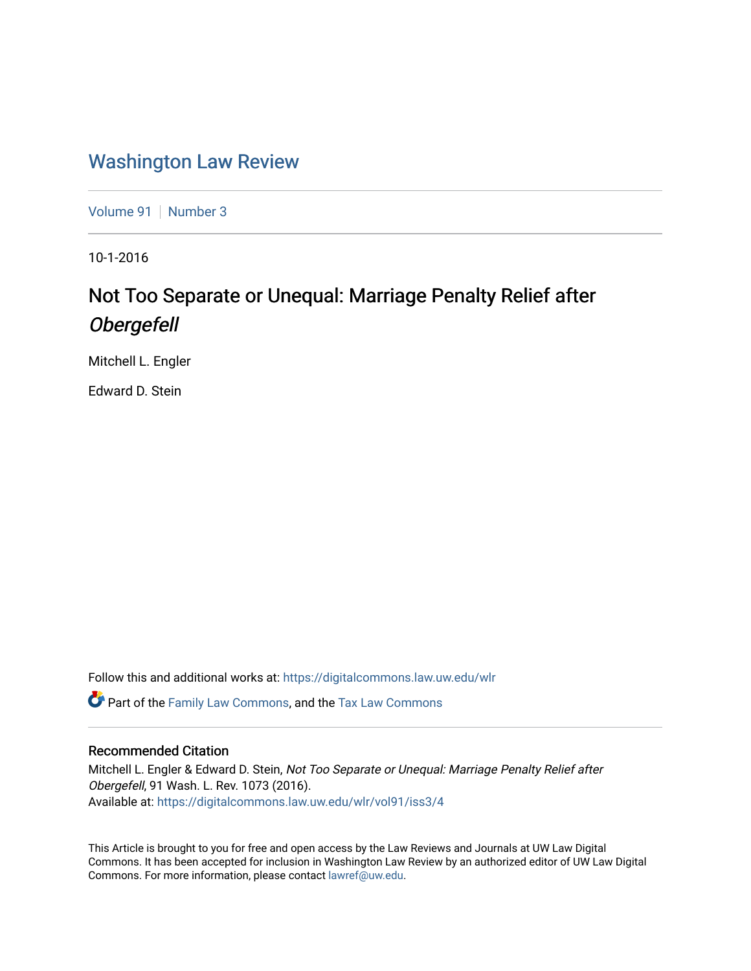# [Washington Law Review](https://digitalcommons.law.uw.edu/wlr)

[Volume 91](https://digitalcommons.law.uw.edu/wlr/vol91) | [Number 3](https://digitalcommons.law.uw.edu/wlr/vol91/iss3)

10-1-2016

# Not Too Separate or Unequal: Marriage Penalty Relief after Obergefell

Mitchell L. Engler

Edward D. Stein

Follow this and additional works at: [https://digitalcommons.law.uw.edu/wlr](https://digitalcommons.law.uw.edu/wlr?utm_source=digitalcommons.law.uw.edu%2Fwlr%2Fvol91%2Fiss3%2F4&utm_medium=PDF&utm_campaign=PDFCoverPages)

 $\bullet$  Part of the [Family Law Commons,](http://network.bepress.com/hgg/discipline/602?utm_source=digitalcommons.law.uw.edu%2Fwlr%2Fvol91%2Fiss3%2F4&utm_medium=PDF&utm_campaign=PDFCoverPages) and the Tax Law Commons

# Recommended Citation

Mitchell L. Engler & Edward D. Stein, Not Too Separate or Unequal: Marriage Penalty Relief after Obergefell, 91 Wash. L. Rev. 1073 (2016). Available at: [https://digitalcommons.law.uw.edu/wlr/vol91/iss3/4](https://digitalcommons.law.uw.edu/wlr/vol91/iss3/4?utm_source=digitalcommons.law.uw.edu%2Fwlr%2Fvol91%2Fiss3%2F4&utm_medium=PDF&utm_campaign=PDFCoverPages)

This Article is brought to you for free and open access by the Law Reviews and Journals at UW Law Digital Commons. It has been accepted for inclusion in Washington Law Review by an authorized editor of UW Law Digital Commons. For more information, please contact [lawref@uw.edu](mailto:lawref@uw.edu).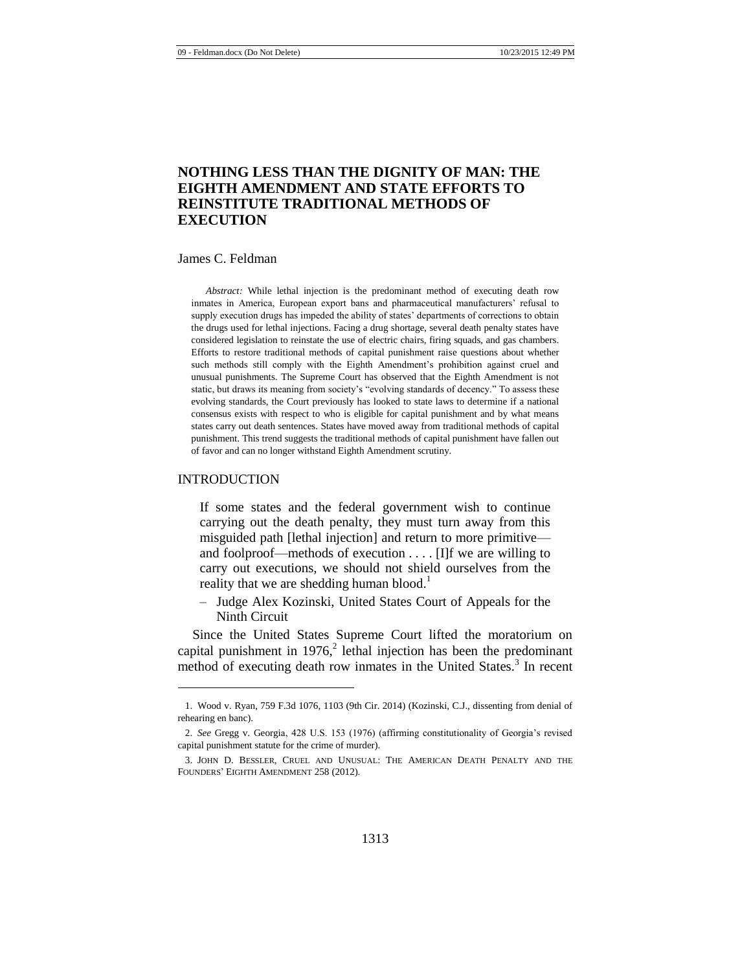# **NOTHING LESS THAN THE DIGNITY OF MAN: THE EIGHTH AMENDMENT AND STATE EFFORTS TO REINSTITUTE TRADITIONAL METHODS OF EXECUTION**

#### James C. Feldman

*Abstract:* While lethal injection is the predominant method of executing death row inmates in America, European export bans and pharmaceutical manufacturers' refusal to supply execution drugs has impeded the ability of states' departments of corrections to obtain the drugs used for lethal injections. Facing a drug shortage, several death penalty states have considered legislation to reinstate the use of electric chairs, firing squads, and gas chambers. Efforts to restore traditional methods of capital punishment raise questions about whether such methods still comply with the Eighth Amendment's prohibition against cruel and unusual punishments. The Supreme Court has observed that the Eighth Amendment is not static, but draws its meaning from society's "evolving standards of decency." To assess these evolving standards, the Court previously has looked to state laws to determine if a national consensus exists with respect to who is eligible for capital punishment and by what means states carry out death sentences. States have moved away from traditional methods of capital punishment. This trend suggests the traditional methods of capital punishment have fallen out of favor and can no longer withstand Eighth Amendment scrutiny.

#### INTRODUCTION

l

If some states and the federal government wish to continue carrying out the death penalty, they must turn away from this misguided path [lethal injection] and return to more primitive and foolproof—methods of execution . . . . [I]f we are willing to carry out executions, we should not shield ourselves from the reality that we are shedding human blood.<sup>1</sup>

<span id="page-1-0"></span>– Judge Alex Kozinski, United States Court of Appeals for the Ninth Circuit

Since the United States Supreme Court lifted the moratorium on capital punishment in  $1976<sup>2</sup>$  lethal injection has been the predominant method of executing death row inmates in the United States.<sup>3</sup> In recent

<sup>1.</sup> Wood v. Ryan, 759 F.3d 1076, 1103 (9th Cir. 2014) (Kozinski, C.J., dissenting from denial of rehearing en banc).

<sup>2.</sup> *See* Gregg v. Georgia, 428 U.S. 153 (1976) (affirming constitutionality of Georgia's revised capital punishment statute for the crime of murder).

<sup>3.</sup> JOHN D. BESSLER, CRUEL AND UNUSUAL: THE AMERICAN DEATH PENALTY AND THE FOUNDERS' EIGHTH AMENDMENT 258 (2012).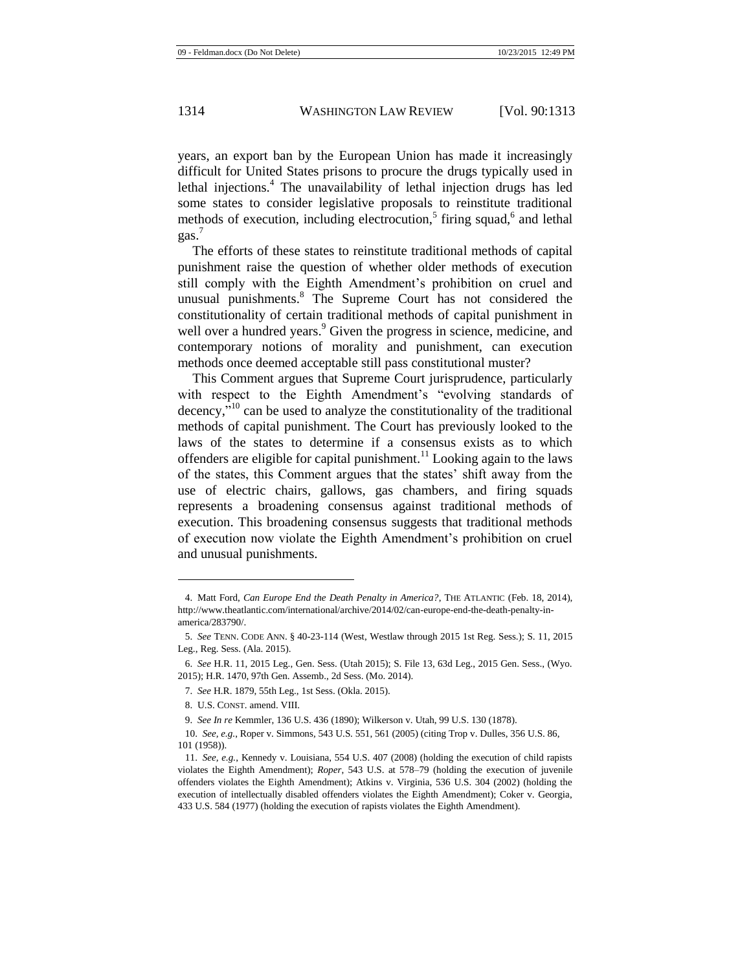<span id="page-2-0"></span>years, an export ban by the European Union has made it increasingly difficult for United States prisons to procure the drugs typically used in lethal injections.<sup>4</sup> The unavailability of lethal injection drugs has led some states to consider legislative proposals to reinstitute traditional methods of execution, including electrocution,<sup>5</sup> firing squad,<sup>6</sup> and lethal gas.<sup>7</sup>

The efforts of these states to reinstitute traditional methods of capital punishment raise the question of whether older methods of execution still comply with the Eighth Amendment's prohibition on cruel and unusual punishments.<sup>8</sup> The Supreme Court has not considered the constitutionality of certain traditional methods of capital punishment in well over a hundred years.<sup>9</sup> Given the progress in science, medicine, and contemporary notions of morality and punishment, can execution methods once deemed acceptable still pass constitutional muster?

This Comment argues that Supreme Court jurisprudence, particularly with respect to the Eighth Amendment's "evolving standards of decency, $\mathbf{v}^{10}$  can be used to analyze the constitutionality of the traditional methods of capital punishment. The Court has previously looked to the laws of the states to determine if a consensus exists as to which offenders are eligible for capital punishment.<sup>11</sup> Looking again to the laws of the states, this Comment argues that the states' shift away from the use of electric chairs, gallows, gas chambers, and firing squads represents a broadening consensus against traditional methods of execution. This broadening consensus suggests that traditional methods of execution now violate the Eighth Amendment's prohibition on cruel and unusual punishments.

<sup>4.</sup> Matt Ford, *Can Europe End the Death Penalty in America?*, THE ATLANTIC (Feb. 18, 2014), http://www.theatlantic.com/international/archive/2014/02/can-europe-end-the-death-penalty-inamerica/283790/.

<sup>5.</sup> *See* TENN. CODE ANN. § 40-23-114 (West, Westlaw through 2015 1st Reg. Sess.); S. 11, 2015 Leg., Reg. Sess. (Ala. 2015).

<sup>6.</sup> *See* H.R. 11, 2015 Leg., Gen. Sess. (Utah 2015); S. File 13, 63d Leg., 2015 Gen. Sess., (Wyo. 2015); H.R. 1470, 97th Gen. Assemb., 2d Sess. (Mo. 2014).

<sup>7.</sup> *See* H.R. 1879, 55th Leg., 1st Sess. (Okla. 2015).

<sup>8.</sup> U.S. CONST. amend. VIII.

<sup>9.</sup> *See In re* Kemmler, 136 U.S. 436 (1890); Wilkerson v. Utah, 99 U.S. 130 (1878).

<sup>10.</sup> *See, e.g.*, Roper v. Simmons*,* 543 U.S. 551, 561 (2005) (citing Trop v. Dulles, 356 U.S. 86, 101 (1958)).

<sup>11.</sup> *See, e.g.*, Kennedy v. Louisiana, 554 U.S. 407 (2008) (holding the execution of child rapists violates the Eighth Amendment); *Roper*, 543 U.S. at 578–79 (holding the execution of juvenile offenders violates the Eighth Amendment); Atkins v. Virginia, 536 U.S. 304 (2002) (holding the execution of intellectually disabled offenders violates the Eighth Amendment); Coker v. Georgia, 433 U.S. 584 (1977) (holding the execution of rapists violates the Eighth Amendment).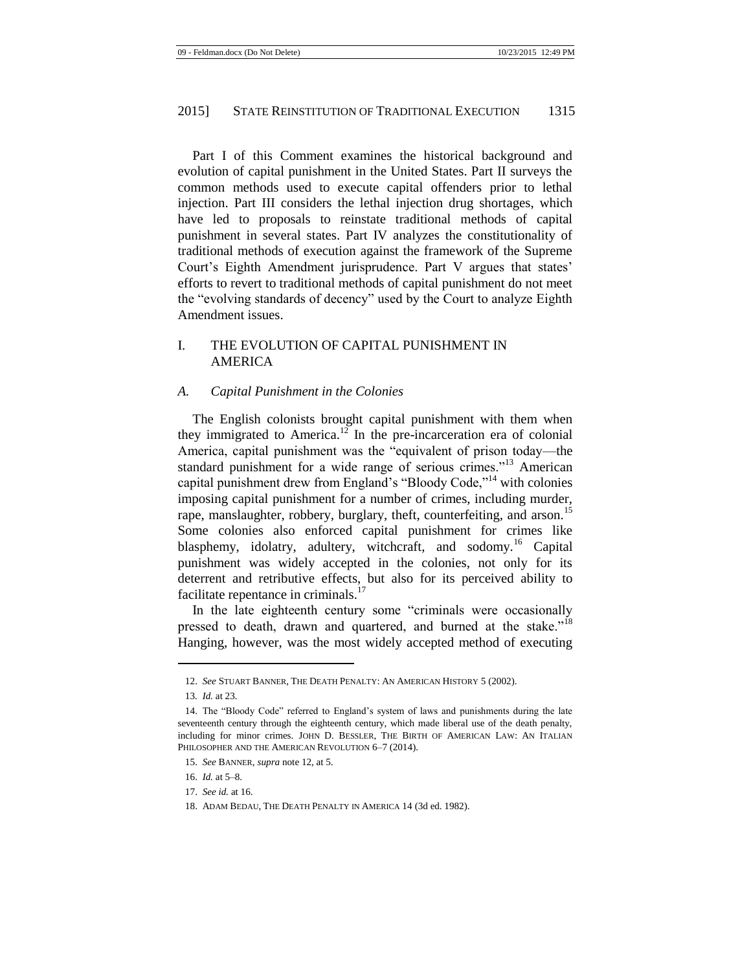Part I of this Comment examines the historical background and evolution of capital punishment in the United States. Part II surveys the common methods used to execute capital offenders prior to lethal injection. Part III considers the lethal injection drug shortages, which have led to proposals to reinstate traditional methods of capital punishment in several states. Part IV analyzes the constitutionality of traditional methods of execution against the framework of the Supreme Court's Eighth Amendment jurisprudence. Part V argues that states' efforts to revert to traditional methods of capital punishment do not meet the "evolving standards of decency" used by the Court to analyze Eighth Amendment issues.

# I. THE EVOLUTION OF CAPITAL PUNISHMENT IN AMERICA

# *A. Capital Punishment in the Colonies*

<span id="page-3-1"></span><span id="page-3-0"></span>The English colonists brought capital punishment with them when they immigrated to America.<sup>12</sup> In the pre-incarceration era of colonial America, capital punishment was the "equivalent of prison today—the standard punishment for a wide range of serious crimes."<sup>13</sup> American capital punishment drew from England's "Bloody Code,"<sup>14</sup> with colonies imposing capital punishment for a number of crimes, including murder, rape, manslaughter, robbery, burglary, theft, counterfeiting, and arson.<sup>15</sup> Some colonies also enforced capital punishment for crimes like blasphemy, idolatry, adultery, witchcraft, and sodomy.<sup>16</sup> Capital punishment was widely accepted in the colonies, not only for its deterrent and retributive effects, but also for its perceived ability to facilitate repentance in criminals.<sup>17</sup>

In the late eighteenth century some "criminals were occasionally pressed to death, drawn and quartered, and burned at the stake."<sup>18</sup> Hanging, however, was the most widely accepted method of executing

<span id="page-3-2"></span><sup>12.</sup> *See* STUART BANNER, THE DEATH PENALTY: AN AMERICAN HISTORY 5 (2002).

<sup>13</sup>*. Id.* at 23.

<sup>14.</sup> The "Bloody Code" referred to England's system of laws and punishments during the late seventeenth century through the eighteenth century, which made liberal use of the death penalty, including for minor crimes. JOHN D. BESSLER, THE BIRTH OF AMERICAN LAW: AN ITALIAN PHILOSOPHER AND THE AMERICAN REVOLUTION 6-7 (2014).

<sup>15.</sup> *See* BANNER, *supra* not[e 12,](#page-3-0) at 5.

<sup>16.</sup> *Id.* at 5–8.

<sup>17.</sup> *See id.* at 16.

<sup>18.</sup> ADAM BEDAU, THE DEATH PENALTY IN AMERICA 14 (3d ed. 1982).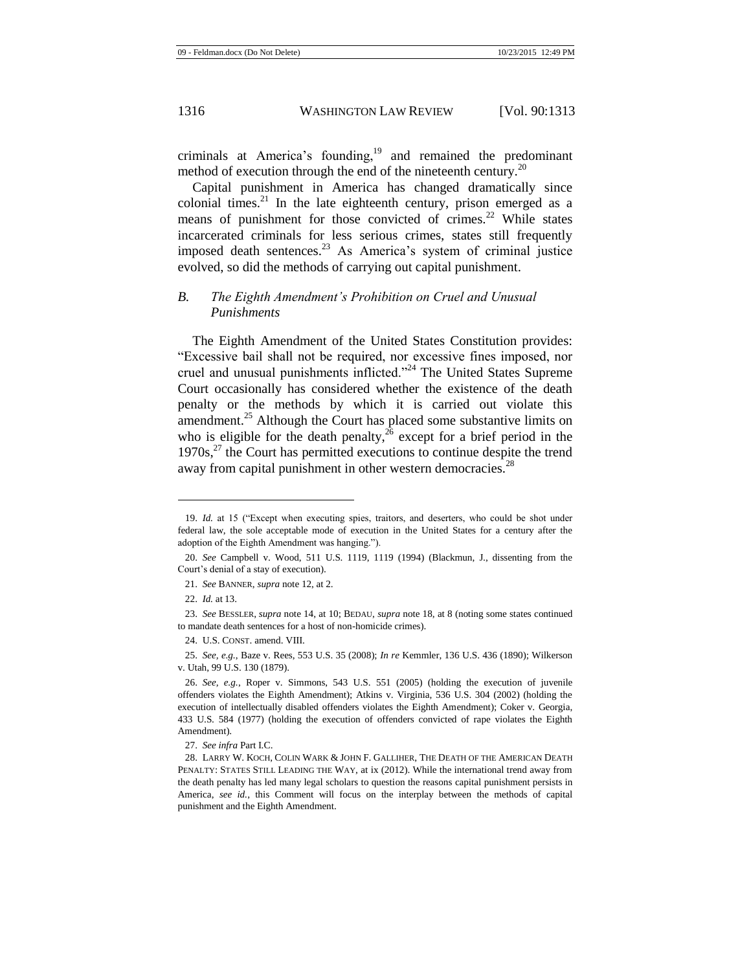criminals at America's founding,<sup>19</sup> and remained the predominant method of execution through the end of the nineteenth century.<sup>20</sup>

Capital punishment in America has changed dramatically since colonial times.<sup>21</sup> In the late eighteenth century, prison emerged as a means of punishment for those convicted of crimes.<sup>22</sup> While states incarcerated criminals for less serious crimes, states still frequently imposed death sentences.<sup>23</sup> As America's system of criminal justice evolved, so did the methods of carrying out capital punishment.

# *B. The Eighth Amendment's Prohibition on Cruel and Unusual Punishments*

The Eighth Amendment of the United States Constitution provides: "Excessive bail shall not be required, nor excessive fines imposed, nor cruel and unusual punishments inflicted."<sup>24</sup> The United States Supreme Court occasionally has considered whether the existence of the death penalty or the methods by which it is carried out violate this amendment. $^{25}$  Although the Court has placed some substantive limits on who is eligible for the death penalty,  $26$  except for a brief period in the  $1970s$ ,<sup>27</sup> the Court has permitted executions to continue despite the trend away from capital punishment in other western democracies.<sup>28</sup>

<span id="page-4-0"></span><sup>19.</sup> *Id.* at 15 ("Except when executing spies, traitors, and deserters, who could be shot under federal law, the sole acceptable mode of execution in the United States for a century after the adoption of the Eighth Amendment was hanging.").

<sup>20.</sup> *See* Campbell v. Wood, 511 U.S. 1119, 1119 (1994) (Blackmun, J., dissenting from the Court's denial of a stay of execution).

<sup>21.</sup> *See* BANNER, *supra* not[e 12,](#page-3-0) at 2.

<sup>22.</sup> *Id.* at 13.

<sup>23.</sup> *See* BESSLER, *supra* not[e 14,](#page-3-1) at 10; BEDAU, *supra* not[e 18,](#page-3-2) at 8 (noting some states continued to mandate death sentences for a host of non-homicide crimes).

<sup>24.</sup> U.S. CONST. amend. VIII.

<sup>25.</sup> *See, e.g.*, Baze v. Rees, 553 U.S. 35 (2008); *In re* Kemmler, 136 U.S. 436 (1890); Wilkerson v. Utah, 99 U.S. 130 (1879).

<sup>26.</sup> *See, e.g.*, Roper v. Simmons, 543 U.S. 551 (2005) (holding the execution of juvenile offenders violates the Eighth Amendment); Atkins v. Virginia, 536 U.S. 304 (2002) (holding the execution of intellectually disabled offenders violates the Eighth Amendment); Coker v. Georgia, 433 U.S. 584 (1977) (holding the execution of offenders convicted of rape violates the Eighth Amendment).

<sup>27.</sup> *See infra* Part I.C.

<sup>28.</sup> LARRY W. KOCH, COLIN WARK & JOHN F. GALLIHER, THE DEATH OF THE AMERICAN DEATH PENALTY: STATES STILL LEADING THE WAY, at ix (2012). While the international trend away from the death penalty has led many legal scholars to question the reasons capital punishment persists in America, *see id.*, this Comment will focus on the interplay between the methods of capital punishment and the Eighth Amendment.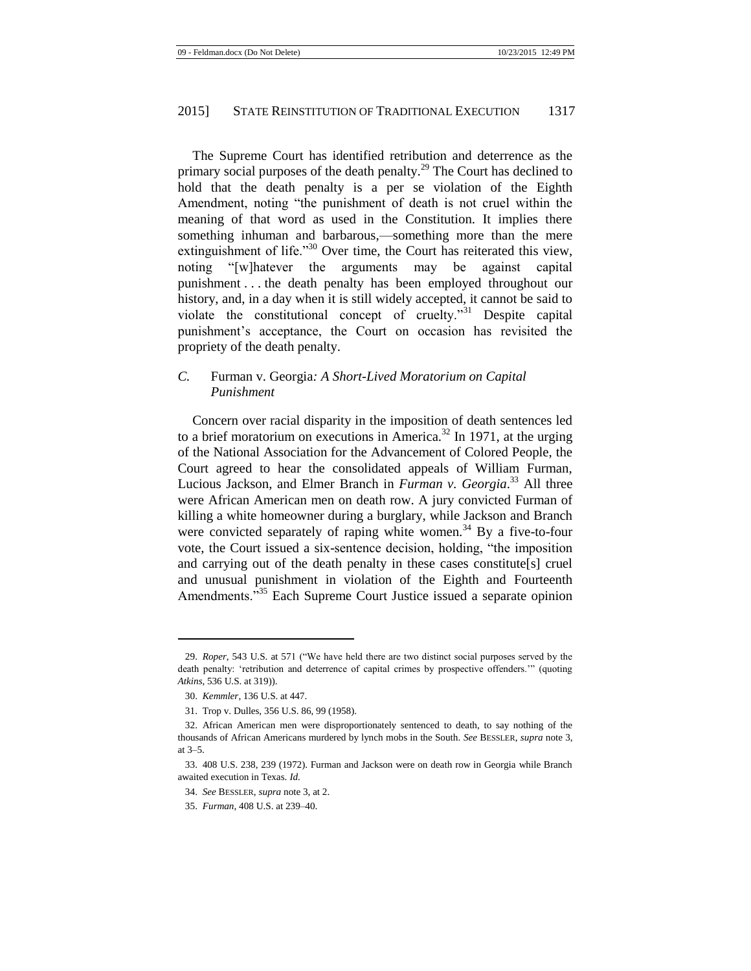The Supreme Court has identified retribution and deterrence as the primary social purposes of the death penalty.<sup>29</sup> The Court has declined to hold that the death penalty is a per se violation of the Eighth Amendment, noting "the punishment of death is not cruel within the meaning of that word as used in the Constitution. It implies there something inhuman and barbarous,—something more than the mere extinguishment of life."<sup>30</sup> Over time, the Court has reiterated this view, noting "[w]hatever the arguments may be against capital punishment . . . the death penalty has been employed throughout our history, and, in a day when it is still widely accepted, it cannot be said to violate the constitutional concept of cruelty."<sup>31</sup> Despite capital punishment's acceptance, the Court on occasion has revisited the propriety of the death penalty.

# *C.* Furman v. Georgia*: A Short-Lived Moratorium on Capital Punishment*

Concern over racial disparity in the imposition of death sentences led to a brief moratorium on executions in America.<sup>32</sup> In 1971, at the urging of the National Association for the Advancement of Colored People, the Court agreed to hear the consolidated appeals of William Furman, Lucious Jackson, and Elmer Branch in *Furman v. Georgia*. <sup>33</sup> All three were African American men on death row. A jury convicted Furman of killing a white homeowner during a burglary, while Jackson and Branch were convicted separately of raping white women.<sup>34</sup> By a five-to-four vote, the Court issued a six-sentence decision, holding, "the imposition and carrying out of the death penalty in these cases constitute[s] cruel and unusual punishment in violation of the Eighth and Fourteenth Amendments.<sup>535</sup> Each Supreme Court Justice issued a separate opinion

<sup>29.</sup> *Roper*, 543 U.S. at 571 ("We have held there are two distinct social purposes served by the death penalty: 'retribution and deterrence of capital crimes by prospective offenders.'" (quoting *Atkins*, 536 U.S. at 319)).

<sup>30.</sup> *Kemmler*, 136 U.S. at 447.

<sup>31.</sup> Trop v. Dulles, 356 U.S. 86, 99 (1958).

<sup>32.</sup> African American men were disproportionately sentenced to death, to say nothing of the thousands of African Americans murdered by lynch mobs in the South. *See* BESSLER, *supra* note [3,](#page-1-0) at 3–5.

<sup>33.</sup> 408 U.S. 238, 239 (1972). Furman and Jackson were on death row in Georgia while Branch awaited execution in Texas. *Id.*

<sup>34.</sup> *See* BESSLER, *supra* not[e 3,](#page-1-0) at 2.

<sup>35.</sup> *Furman*, 408 U.S. at 239–40.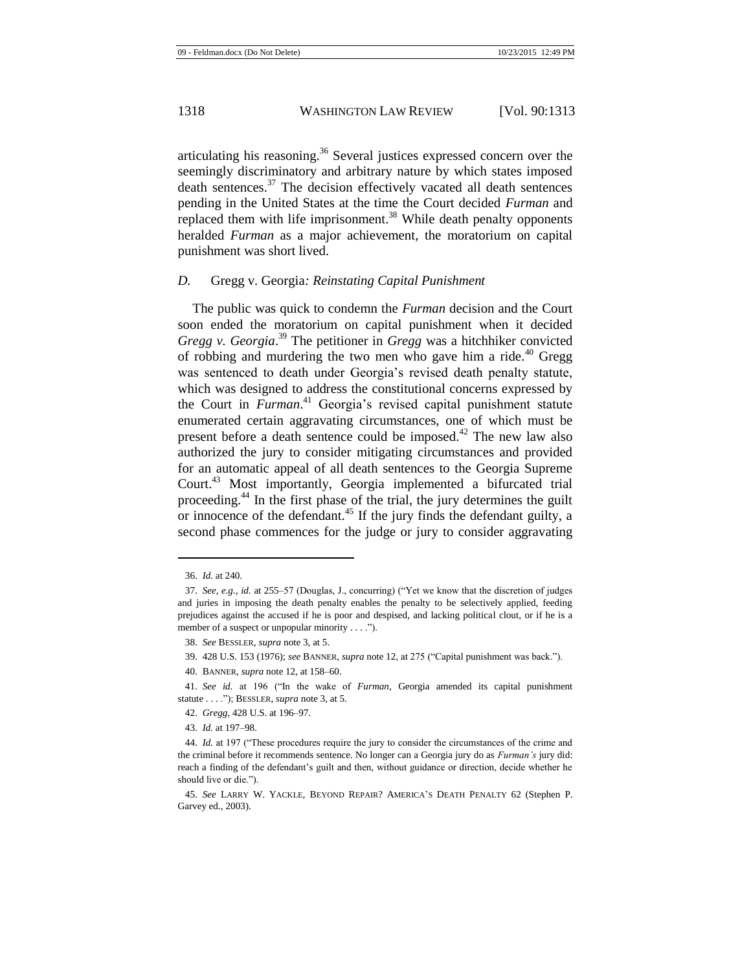articulating his reasoning.<sup>36</sup> Several justices expressed concern over the seemingly discriminatory and arbitrary nature by which states imposed death sentences.<sup>37</sup> The decision effectively vacated all death sentences pending in the United States at the time the Court decided *Furman* and replaced them with life imprisonment.<sup>38</sup> While death penalty opponents heralded *Furman* as a major achievement, the moratorium on capital punishment was short lived.

#### *D.* Gregg v. Georgia*: Reinstating Capital Punishment*

The public was quick to condemn the *Furman* decision and the Court soon ended the moratorium on capital punishment when it decided *Gregg v. Georgia*. <sup>39</sup> The petitioner in *Gregg* was a hitchhiker convicted of robbing and murdering the two men who gave him a ride.<sup>40</sup> Gregg was sentenced to death under Georgia's revised death penalty statute, which was designed to address the constitutional concerns expressed by the Court in *Furman*. <sup>41</sup> Georgia's revised capital punishment statute enumerated certain aggravating circumstances, one of which must be present before a death sentence could be imposed.<sup>42</sup> The new law also authorized the jury to consider mitigating circumstances and provided for an automatic appeal of all death sentences to the Georgia Supreme Court.<sup>43</sup> Most importantly, Georgia implemented a bifurcated trial proceeding.<sup>44</sup> In the first phase of the trial, the jury determines the guilt or innocence of the defendant.<sup>45</sup> If the jury finds the defendant guilty, a second phase commences for the judge or jury to consider aggravating

<span id="page-6-0"></span><sup>36.</sup> *Id.* at 240.

<sup>37.</sup> *See, e.g.*, *id.* at 255–57 (Douglas, J., concurring) ("Yet we know that the discretion of judges and juries in imposing the death penalty enables the penalty to be selectively applied, feeding prejudices against the accused if he is poor and despised, and lacking political clout, or if he is a member of a suspect or unpopular minority . . . .").

<sup>38.</sup> *See* BESSLER, *supra* not[e 3,](#page-1-0) at 5.

<sup>39.</sup> 428 U.S. 153 (1976); *see* BANNER, *supra* not[e 12,](#page-3-0) at 275 ("Capital punishment was back.").

<sup>40.</sup> BANNER, *supra* not[e 12,](#page-3-0) at 158–60.

<sup>41.</sup> *See id.* at 196 ("In the wake of *Furman*, Georgia amended its capital punishment statute . . . ."); BESSLER, *supra* not[e 3,](#page-1-0) at 5.

<sup>42.</sup> *Gregg*, 428 U.S. at 196–97.

<sup>43.</sup> *Id.* at 197–98.

<sup>44.</sup> *Id.* at 197 ("These procedures require the jury to consider the circumstances of the crime and the criminal before it recommends sentence. No longer can a Georgia jury do as *Furman's* jury did: reach a finding of the defendant's guilt and then, without guidance or direction, decide whether he should live or die.").

<sup>45.</sup> *See* LARRY W. YACKLE, BEYOND REPAIR? AMERICA'S DEATH PENALTY 62 (Stephen P. Garvey ed., 2003).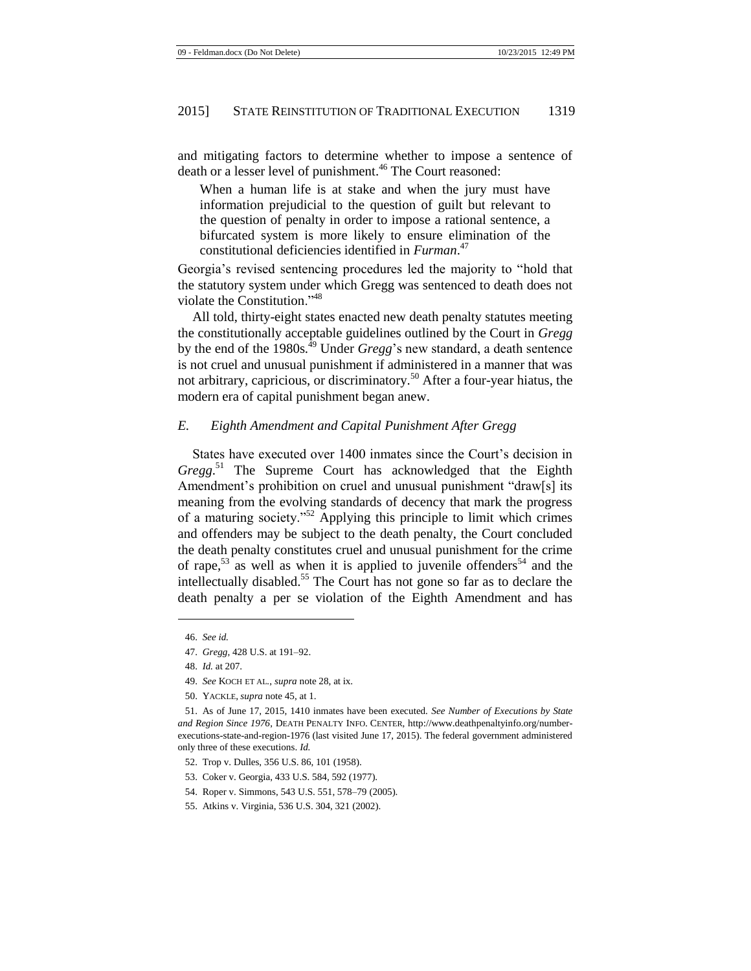and mitigating factors to determine whether to impose a sentence of death or a lesser level of punishment.<sup>46</sup> The Court reasoned:

When a human life is at stake and when the jury must have information prejudicial to the question of guilt but relevant to the question of penalty in order to impose a rational sentence, a bifurcated system is more likely to ensure elimination of the constitutional deficiencies identified in *Furman*. 47

Georgia's revised sentencing procedures led the majority to "hold that the statutory system under which Gregg was sentenced to death does not violate the Constitution."<sup>48</sup>

All told, thirty-eight states enacted new death penalty statutes meeting the constitutionally acceptable guidelines outlined by the Court in *Gregg* by the end of the 1980s.<sup>49</sup> Under *Gregg*'s new standard, a death sentence is not cruel and unusual punishment if administered in a manner that was not arbitrary, capricious, or discriminatory.<sup>50</sup> After a four-year hiatus, the modern era of capital punishment began anew.

#### *E. Eighth Amendment and Capital Punishment After Gregg*

States have executed over 1400 inmates since the Court's decision in *Gregg*. <sup>51</sup> The Supreme Court has acknowledged that the Eighth Amendment's prohibition on cruel and unusual punishment "draw[s] its meaning from the evolving standards of decency that mark the progress of a maturing society."<sup>52</sup> Applying this principle to limit which crimes and offenders may be subject to the death penalty, the Court concluded the death penalty constitutes cruel and unusual punishment for the crime of rape,<sup>53</sup> as well as when it is applied to juvenile offenders<sup>54</sup> and the intellectually disabled. <sup>55</sup> The Court has not gone so far as to declare the death penalty a per se violation of the Eighth Amendment and has

- 54. Roper v. Simmons, 543 U.S. 551, 578–79 (2005).
- 55. Atkins v. Virginia, 536 U.S. 304, 321 (2002).

<sup>46.</sup> *See id.*

<sup>47.</sup> *Gregg*, 428 U.S. at 191–92.

<sup>48.</sup> *Id.* at 207.

<sup>49.</sup> *See* KOCH ET AL*.*, *supra* not[e 28,](#page-4-0) at ix.

<sup>50.</sup> YACKLE, *supra* not[e 45,](#page-6-0) at 1.

<sup>51.</sup> As of June 17, 2015, 1410 inmates have been executed. *See Number of Executions by State and Region Since 1976*, DEATH PENALTY INFO. CENTER, http://www.deathpenaltyinfo.org/numberexecutions-state-and-region-1976 (last visited June 17, 2015). The federal government administered only three of these executions. *Id.*

<sup>52.</sup> Trop v. Dulles, 356 U.S. 86, 101 (1958).

<sup>53.</sup> Coker v. Georgia, 433 U.S. 584, 592 (1977).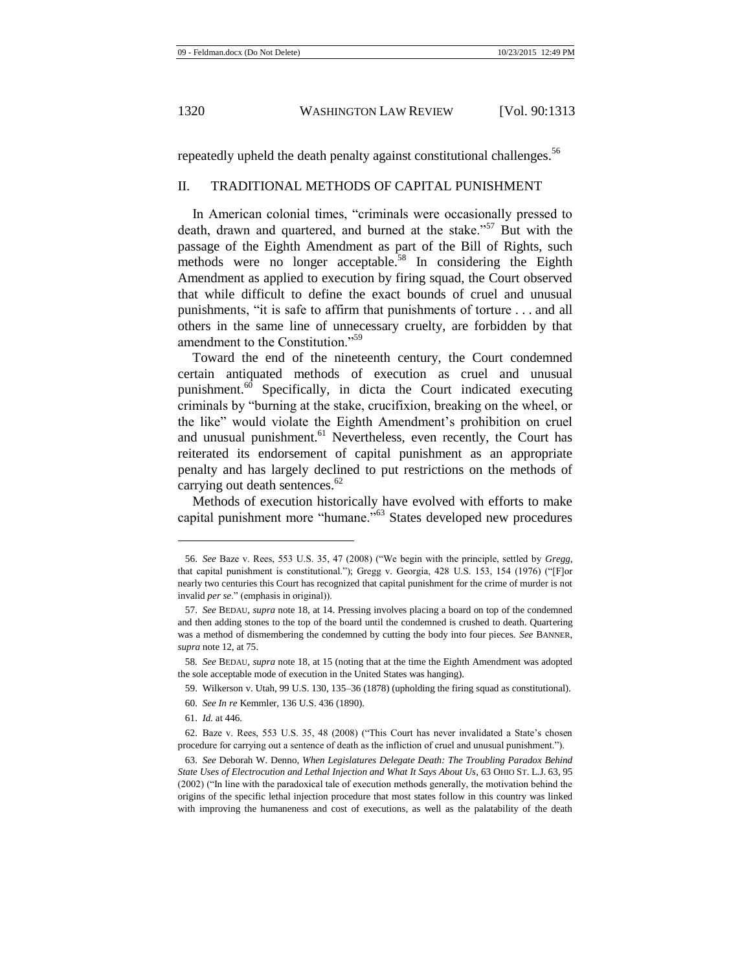repeatedly upheld the death penalty against constitutional challenges.<sup>56</sup>

# II. TRADITIONAL METHODS OF CAPITAL PUNISHMENT

In American colonial times, "criminals were occasionally pressed to death, drawn and quartered, and burned at the stake."<sup>57</sup> But with the passage of the Eighth Amendment as part of the Bill of Rights, such methods were no longer acceptable.<sup>58</sup> In considering the Eighth Amendment as applied to execution by firing squad, the Court observed that while difficult to define the exact bounds of cruel and unusual punishments, "it is safe to affirm that punishments of torture . . . and all others in the same line of unnecessary cruelty, are forbidden by that amendment to the Constitution."<sup>59</sup>

Toward the end of the nineteenth century, the Court condemned certain antiquated methods of execution as cruel and unusual punishment.<sup>60</sup> Specifically, in dicta the Court indicated executing criminals by "burning at the stake, crucifixion, breaking on the wheel, or the like" would violate the Eighth Amendment's prohibition on cruel and unusual punishment.<sup>61</sup> Nevertheless, even recently, the Court has reiterated its endorsement of capital punishment as an appropriate penalty and has largely declined to put restrictions on the methods of carrying out death sentences.<sup>62</sup>

Methods of execution historically have evolved with efforts to make capital punishment more "humane."<sup>63</sup> States developed new procedures

<sup>56.</sup> *See* Baze v. Rees, 553 U.S. 35, 47 (2008) ("We begin with the principle, settled by *Gregg*, that capital punishment is constitutional."); Gregg v. Georgia, 428 U.S. 153, 154 (1976) ("[F]or nearly two centuries this Court has recognized that capital punishment for the crime of murder is not invalid *per se*." (emphasis in original)).

<sup>57.</sup> *See* BEDAU, *supra* note [18,](#page-3-2) at 14. Pressing involves placing a board on top of the condemned and then adding stones to the top of the board until the condemned is crushed to death. Quartering was a method of dismembering the condemned by cutting the body into four pieces. *See* BANNER, *supra* not[e 12,](#page-3-0) at 75.

<sup>58</sup>*. See* BEDAU, *supra* not[e 18,](#page-3-2) at 15 (noting that at the time the Eighth Amendment was adopted the sole acceptable mode of execution in the United States was hanging).

<sup>59.</sup> Wilkerson v. Utah, 99 U.S. 130, 135–36 (1878) (upholding the firing squad as constitutional).

<sup>60.</sup> *See In re* Kemmler, 136 U.S. 436 (1890).

<sup>61.</sup> *Id.* at 446.

<sup>62.</sup> Baze v. Rees, 553 U.S. 35, 48 (2008) ("This Court has never invalidated a State's chosen procedure for carrying out a sentence of death as the infliction of cruel and unusual punishment.").

<sup>63.</sup> *See* Deborah W. Denno, *When Legislatures Delegate Death: The Troubling Paradox Behind State Uses of Electrocution and Lethal Injection and What It Says About Us*, 63 OHIO ST. L.J. 63, 95 (2002) ("In line with the paradoxical tale of execution methods generally, the motivation behind the origins of the specific lethal injection procedure that most states follow in this country was linked with improving the humaneness and cost of executions, as well as the palatability of the death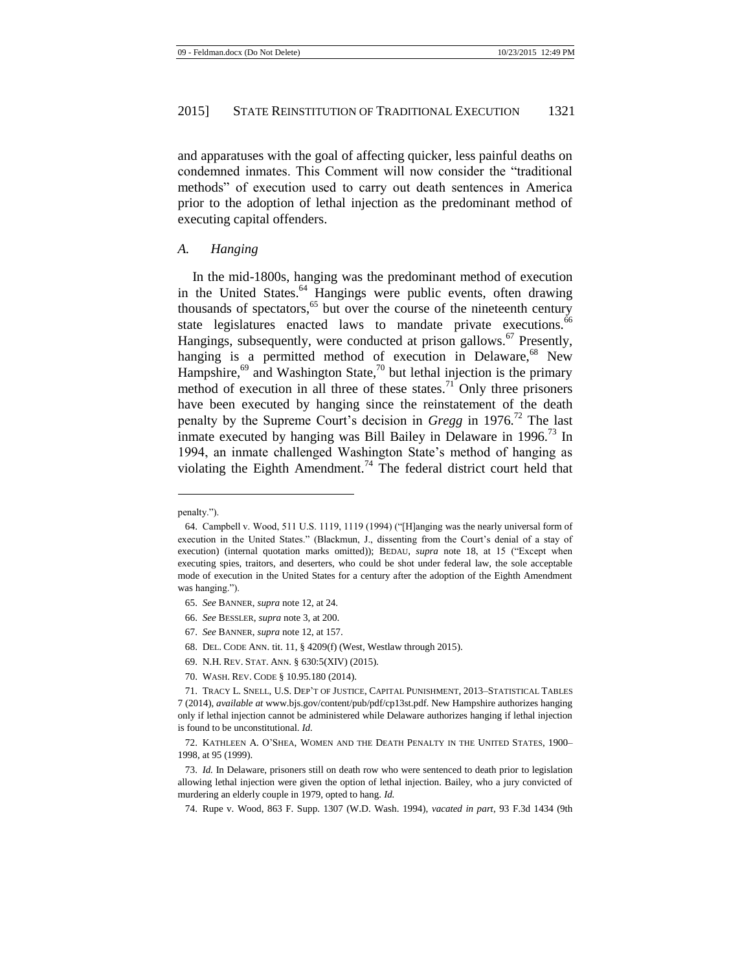and apparatuses with the goal of affecting quicker, less painful deaths on condemned inmates. This Comment will now consider the "traditional methods" of execution used to carry out death sentences in America prior to the adoption of lethal injection as the predominant method of executing capital offenders.

#### *A. Hanging*

<span id="page-9-0"></span>In the mid-1800s, hanging was the predominant method of execution in the United States.<sup>64</sup> Hangings were public events, often drawing thousands of spectators, $65$  but over the course of the nineteenth century state legislatures enacted laws to mandate private executions.<sup>66</sup> Hangings, subsequently, were conducted at prison gallows.<sup>67</sup> Presently, hanging is a permitted method of execution in Delaware,<sup>68</sup> New Hampshire, $69$  and Washington State, $70$  but lethal injection is the primary method of execution in all three of these states.<sup>71</sup> Only three prisoners have been executed by hanging since the reinstatement of the death penalty by the Supreme Court's decision in *Gregg* in 1976.<sup>72</sup> The last inmate executed by hanging was Bill Bailey in Delaware in  $1996$ <sup> $,73$ </sup> In 1994, an inmate challenged Washington State's method of hanging as violating the Eighth Amendment.<sup>74</sup> The federal district court held that

- 68. DEL. CODE ANN. tit. 11, § 4209(f) (West, Westlaw through 2015).
- 69. N.H. REV. STAT. ANN. § 630:5(XIV) (2015).
- 70. WASH. REV. CODE § 10.95.180 (2014).

<span id="page-9-1"></span>penalty.").

<sup>64.</sup> Campbell v. Wood, 511 U.S. 1119, 1119 (1994) ("[H]anging was the nearly universal form of execution in the United States." (Blackmun, J., dissenting from the Court's denial of a stay of execution) (internal quotation marks omitted)); BEDAU, *supra* note [18,](#page-3-2) at 15 ("Except when executing spies, traitors, and deserters, who could be shot under federal law, the sole acceptable mode of execution in the United States for a century after the adoption of the Eighth Amendment was hanging.").

<sup>65.</sup> *See* BANNER, *supra* not[e 12,](#page-3-0) at 24.

<sup>66.</sup> *See* BESSLER, *supra* not[e 3,](#page-1-0) at 200.

<sup>67.</sup> *See* BANNER, *supra* not[e 12,](#page-3-0) at 157.

<sup>71.</sup> TRACY L. SNELL, U.S. DEP'T OF JUSTICE, CAPITAL PUNISHMENT, 2013–STATISTICAL TABLES 7 (2014), *available at* www.bjs.gov/content/pub/pdf/cp13st.pdf. New Hampshire authorizes hanging only if lethal injection cannot be administered while Delaware authorizes hanging if lethal injection is found to be unconstitutional. *Id.*

<sup>72.</sup> KATHLEEN A. O'SHEA, WOMEN AND THE DEATH PENALTY IN THE UNITED STATES, 1900– 1998, at 95 (1999).

<sup>73.</sup> *Id.* In Delaware, prisoners still on death row who were sentenced to death prior to legislation allowing lethal injection were given the option of lethal injection. Bailey, who a jury convicted of murdering an elderly couple in 1979, opted to hang. *Id.*

<sup>74.</sup> Rupe v. Wood, 863 F. Supp. 1307 (W.D. Wash. 1994), *vacated in part*, 93 F.3d 1434 (9th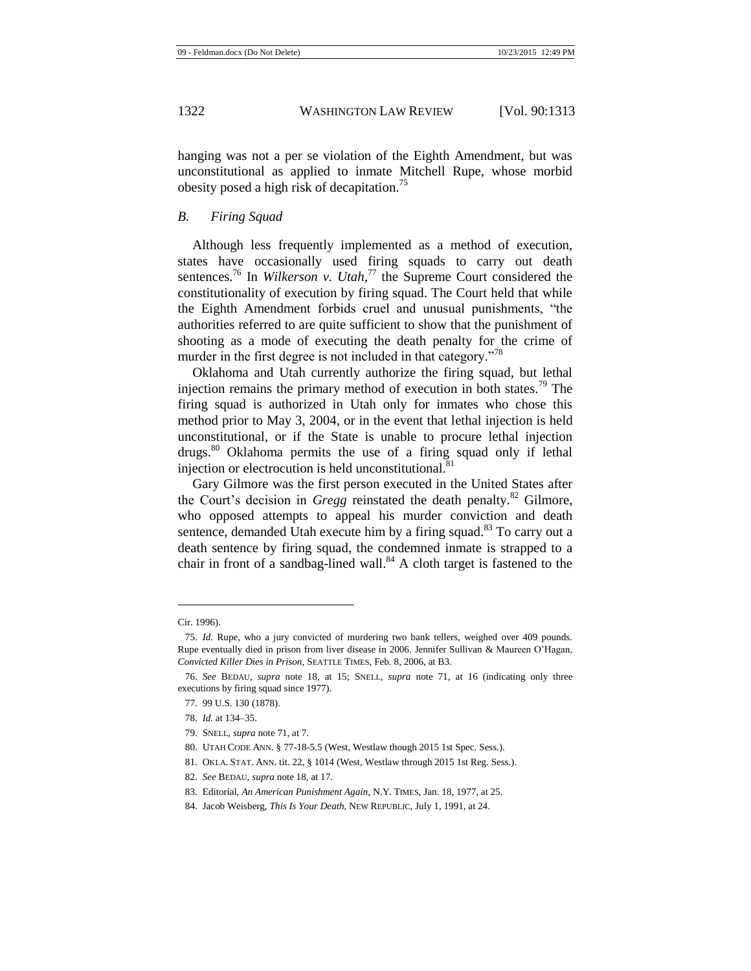hanging was not a per se violation of the Eighth Amendment, but was unconstitutional as applied to inmate Mitchell Rupe, whose morbid obesity posed a high risk of decapitation.<sup>75</sup>

#### *B. Firing Squad*

Although less frequently implemented as a method of execution, states have occasionally used firing squads to carry out death sentences.<sup>76</sup> In *Wilkerson v. Utah*,<sup>77</sup> the Supreme Court considered the constitutionality of execution by firing squad. The Court held that while the Eighth Amendment forbids cruel and unusual punishments, "the authorities referred to are quite sufficient to show that the punishment of shooting as a mode of executing the death penalty for the crime of murder in the first degree is not included in that category."<sup>78</sup>

Oklahoma and Utah currently authorize the firing squad, but lethal injection remains the primary method of execution in both states.<sup>79</sup> The firing squad is authorized in Utah only for inmates who chose this method prior to May 3, 2004, or in the event that lethal injection is held unconstitutional, or if the State is unable to procure lethal injection drugs.<sup>80</sup> Oklahoma permits the use of a firing squad only if lethal injection or electrocution is held unconstitutional.<sup>81</sup>

Gary Gilmore was the first person executed in the United States after the Court's decision in *Gregg* reinstated the death penalty.<sup>82</sup> Gilmore, who opposed attempts to appeal his murder conviction and death sentence, demanded Utah execute him by a firing squad.<sup>83</sup> To carry out a death sentence by firing squad, the condemned inmate is strapped to a chair in front of a sandbag-lined wall. $84$  A cloth target is fastened to the

<span id="page-10-0"></span>Cir. 1996).

<sup>75.</sup> *Id.* Rupe, who a jury convicted of murdering two bank tellers, weighed over 409 pounds. Rupe eventually died in prison from liver disease in 2006. Jennifer Sullivan & Maureen O'Hagan, *Convicted Killer Dies in Prison*, SEATTLE TIMES, Feb. 8, 2006, at B3.

<sup>76.</sup> *See* BEDAU, *supra* note [18,](#page-3-2) at 15; SNELL, *supra* note [71,](#page-9-0) at 16 (indicating only three executions by firing squad since 1977).

<sup>77.</sup> 99 U.S. 130 (1878).

<sup>78.</sup> *Id.* at 134–35.

<sup>79.</sup> SNELL, *supra* not[e 71,](#page-9-0) at 7.

<sup>80.</sup> UTAH CODE ANN. § 77-18-5.5 (West, Westlaw though 2015 1st Spec. Sess.).

<sup>81.</sup> OKLA. STAT. ANN. tit. 22, § 1014 (West, Westlaw through 2015 1st Reg. Sess.).

<sup>82.</sup> *See* BEDAU, *supra* not[e 18,](#page-3-2) at 17.

<sup>83.</sup> Editorial, *An American Punishment Again*, N.Y. TIMES, Jan. 18, 1977, at 25.

<sup>84.</sup> Jacob Weisberg, *This Is Your Death*, NEW REPUBLIC, July 1, 1991, at 24.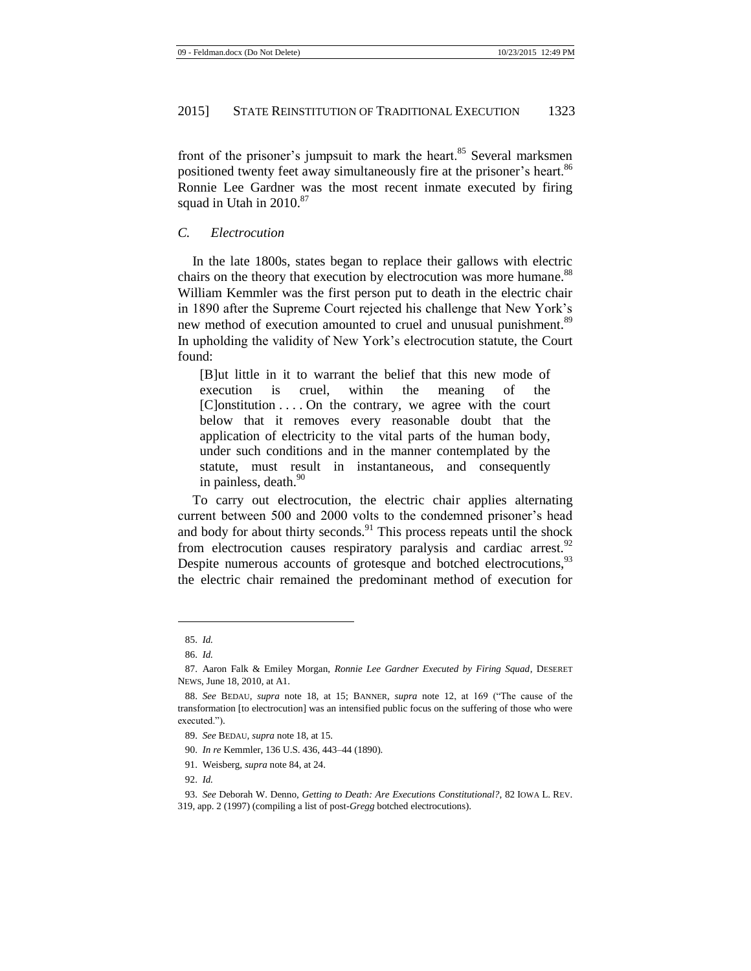front of the prisoner's jumpsuit to mark the heart.<sup>85</sup> Several marksmen positioned twenty feet away simultaneously fire at the prisoner's heart.<sup>86</sup> Ronnie Lee Gardner was the most recent inmate executed by firing squad in Utah in  $2010^{87}$ 

#### *C. Electrocution*

In the late 1800s, states began to replace their gallows with electric chairs on the theory that execution by electrocution was more humane.<sup>88</sup> William Kemmler was the first person put to death in the electric chair in 1890 after the Supreme Court rejected his challenge that New York's new method of execution amounted to cruel and unusual punishment.<sup>89</sup> In upholding the validity of New York's electrocution statute, the Court found:

[B]ut little in it to warrant the belief that this new mode of execution is cruel, within the meaning of the  $[C]$ onstitution  $\ldots$  On the contrary, we agree with the court below that it removes every reasonable doubt that the application of electricity to the vital parts of the human body, under such conditions and in the manner contemplated by the statute, must result in instantaneous, and consequently in painless, death.<sup>90</sup>

To carry out electrocution, the electric chair applies alternating current between 500 and 2000 volts to the condemned prisoner's head and body for about thirty seconds.<sup>91</sup> This process repeats until the shock from electrocution causes respiratory paralysis and cardiac arrest.<sup>92</sup> Despite numerous accounts of grotesque and botched electrocutions,<sup>93</sup> the electric chair remained the predominant method of execution for

<span id="page-11-0"></span><sup>85.</sup> *Id.*

<sup>86.</sup> *Id.*

<sup>87.</sup> Aaron Falk & Emiley Morgan, *Ronnie Lee Gardner Executed by Firing Squad*, DESERET NEWS, June 18, 2010, at A1.

<sup>88.</sup> *See* BEDAU, *supra* note [18,](#page-3-2) at 15; BANNER, *supra* note [12,](#page-3-0) at 169 ("The cause of the transformation [to electrocution] was an intensified public focus on the suffering of those who were executed.").

<sup>89.</sup> *See* BEDAU*, supra* not[e 18,](#page-3-2) at 15.

<sup>90.</sup> *In re* Kemmler, 136 U.S. 436, 443–44 (1890).

<sup>91.</sup> Weisberg, *supra* not[e 84,](#page-10-0) at 24.

<sup>92.</sup> *Id.*

<sup>93.</sup> *See* Deborah W. Denno, *Getting to Death: Are Executions Constitutional?*, 82 IOWA L. REV.

<sup>319,</sup> app. 2 (1997) (compiling a list of post-*Gregg* botched electrocutions).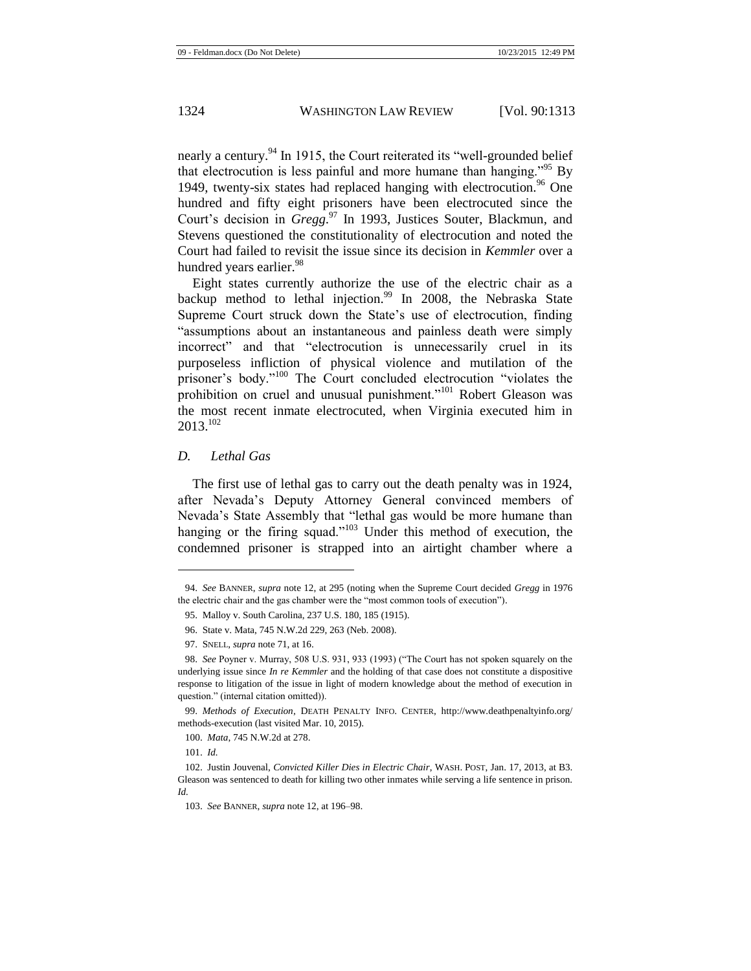nearly a century.<sup>94</sup> In 1915, the Court reiterated its "well-grounded belief that electrocution is less painful and more humane than hanging.<sup> $35$ </sup> By 1949, twenty-six states had replaced hanging with electrocution.<sup>96</sup> One hundred and fifty eight prisoners have been electrocuted since the Court's decision in *Gregg*. <sup>97</sup> In 1993, Justices Souter, Blackmun, and Stevens questioned the constitutionality of electrocution and noted the Court had failed to revisit the issue since its decision in *Kemmler* over a hundred years earlier.<sup>98</sup>

<span id="page-12-0"></span>Eight states currently authorize the use of the electric chair as a backup method to lethal injection.<sup>99</sup> In 2008, the Nebraska State Supreme Court struck down the State's use of electrocution, finding "assumptions about an instantaneous and painless death were simply incorrect" and that "electrocution is unnecessarily cruel in its purposeless infliction of physical violence and mutilation of the prisoner's body."<sup>100</sup> The Court concluded electrocution "violates the prohibition on cruel and unusual punishment."<sup>101</sup> Robert Gleason was the most recent inmate electrocuted, when Virginia executed him in  $2013^{102}$ 

#### *D. Lethal Gas*

The first use of lethal gas to carry out the death penalty was in 1924, after Nevada's Deputy Attorney General convinced members of Nevada's State Assembly that "lethal gas would be more humane than hanging or the firing squad."<sup>103</sup> Under this method of execution, the condemned prisoner is strapped into an airtight chamber where a

<sup>94.</sup> *See* BANNER, *supra* not[e 12,](#page-3-0) at 295 (noting when the Supreme Court decided *Gregg* in 1976 the electric chair and the gas chamber were the "most common tools of execution").

<sup>95.</sup> Malloy v. South Carolina, 237 U.S. 180, 185 (1915).

<sup>96.</sup> State v. Mata, 745 N.W.2d 229, 263 (Neb. 2008).

<sup>97.</sup> SNELL, *supra* not[e 71,](#page-9-0) at 16.

<sup>98.</sup> *See* Poyner v. Murray, 508 U.S. 931, 933 (1993) ("The Court has not spoken squarely on the underlying issue since *In re Kemmler* and the holding of that case does not constitute a dispositive response to litigation of the issue in light of modern knowledge about the method of execution in question." (internal citation omitted)).

<sup>99.</sup> *Methods of Execution*, DEATH PENALTY INFO. CENTER, http://www.deathpenaltyinfo.org/ methods-execution (last visited Mar. 10, 2015).

<sup>100.</sup> *Mata*, 745 N.W.2d at 278.

<sup>101.</sup> *Id.*

<sup>102.</sup> Justin Jouvenal, *Convicted Killer Dies in Electric Chair*, WASH. POST, Jan. 17, 2013, at B3. Gleason was sentenced to death for killing two other inmates while serving a life sentence in prison. *Id.*

<sup>103.</sup> *See* BANNER, *supra* not[e 12,](#page-3-0) at 196–98.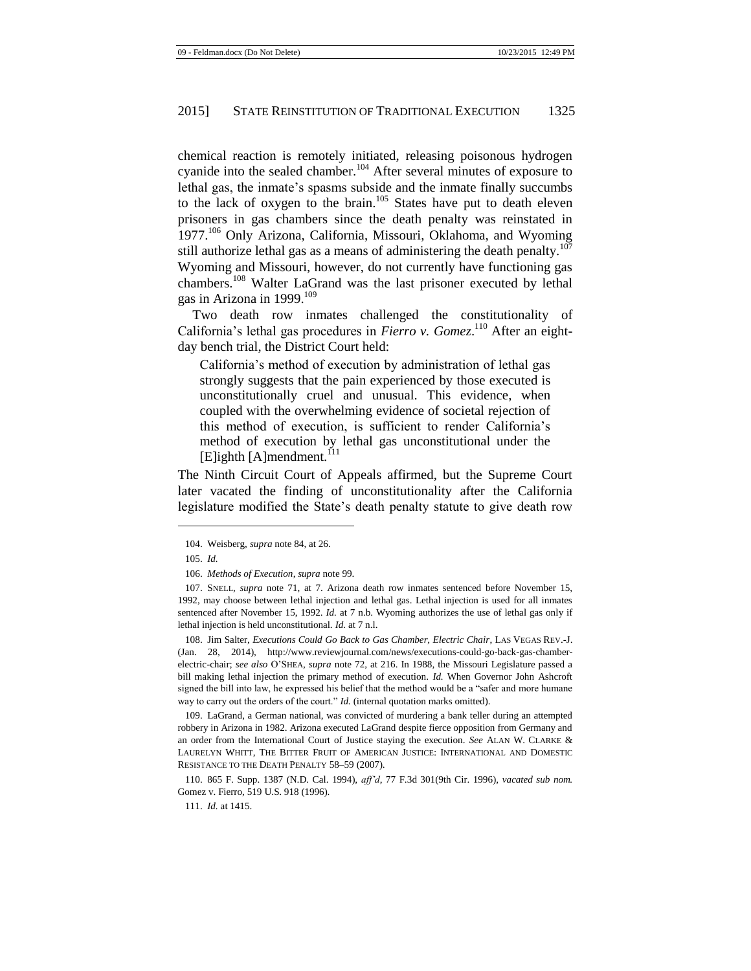chemical reaction is remotely initiated, releasing poisonous hydrogen cyanide into the sealed chamber.<sup>104</sup> After several minutes of exposure to lethal gas, the inmate's spasms subside and the inmate finally succumbs to the lack of oxygen to the brain.<sup>105</sup> States have put to death eleven prisoners in gas chambers since the death penalty was reinstated in 1977.<sup>106</sup> Only Arizona, California, Missouri, Oklahoma, and Wyoming still authorize lethal gas as a means of administering the death penalty. $107$ Wyoming and Missouri, however, do not currently have functioning gas chambers.<sup>108</sup> Walter LaGrand was the last prisoner executed by lethal gas in Arizona in 1999. $^{109}$ 

<span id="page-13-1"></span>Two death row inmates challenged the constitutionality of California's lethal gas procedures in *Fierro v. Gomez*. <sup>110</sup> After an eightday bench trial, the District Court held:

<span id="page-13-0"></span>California's method of execution by administration of lethal gas strongly suggests that the pain experienced by those executed is unconstitutionally cruel and unusual. This evidence, when coupled with the overwhelming evidence of societal rejection of this method of execution, is sufficient to render California's method of execution by lethal gas unconstitutional under the  $[E]$ ighth [A]mendment.<sup>111</sup>

The Ninth Circuit Court of Appeals affirmed, but the Supreme Court later vacated the finding of unconstitutionality after the California legislature modified the State's death penalty statute to give death row

l

108. Jim Salter, *Executions Could Go Back to Gas Chamber, Electric Chair*, LAS VEGAS REV.-J. (Jan. 28, 2014), http://www.reviewjournal.com/news/executions-could-go-back-gas-chamberelectric-chair; *see also* O'SHEA, *supra* note [72,](#page-9-1) at 216. In 1988, the Missouri Legislature passed a bill making lethal injection the primary method of execution. *Id.* When Governor John Ashcroft signed the bill into law, he expressed his belief that the method would be a "safer and more humane way to carry out the orders of the court." *Id.* (internal quotation marks omitted).

109. LaGrand, a German national, was convicted of murdering a bank teller during an attempted robbery in Arizona in 1982. Arizona executed LaGrand despite fierce opposition from Germany and an order from the International Court of Justice staying the execution. *See* ALAN W. CLARKE & LAURELYN WHITT, THE BITTER FRUIT OF AMERICAN JUSTICE: INTERNATIONAL AND DOMESTIC RESISTANCE TO THE DEATH PENALTY 58–59 (2007).

110. 865 F. Supp. 1387 (N.D. Cal. 1994), *aff'd*, 77 F.3d 301(9th Cir. 1996), *vacated sub nom.*  Gomez v. Fierro, 519 U.S. 918 (1996).

111. *Id.* at 1415.

<sup>104.</sup> Weisberg, *supra* not[e 84,](#page-10-0) at 26.

<sup>105.</sup> *Id.*

<sup>106.</sup> *Methods of Execution*, *supra* not[e 99.](#page-12-0)

<sup>107.</sup> SNELL, *supra* note [71,](#page-9-0) at 7. Arizona death row inmates sentenced before November 15, 1992, may choose between lethal injection and lethal gas. Lethal injection is used for all inmates sentenced after November 15, 1992. *Id.* at 7 n.b. Wyoming authorizes the use of lethal gas only if lethal injection is held unconstitutional. *Id.* at 7 n.l.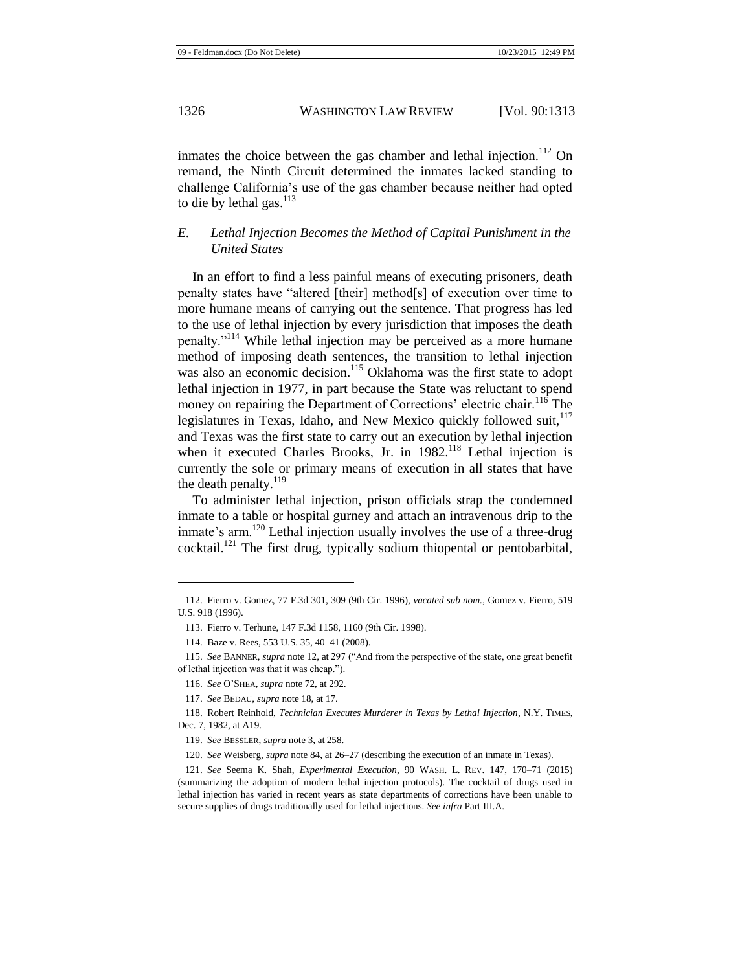inmates the choice between the gas chamber and lethal injection.<sup>112</sup> On remand, the Ninth Circuit determined the inmates lacked standing to challenge California's use of the gas chamber because neither had opted to die by lethal gas. $^{113}$ 

# *E. Lethal Injection Becomes the Method of Capital Punishment in the United States*

In an effort to find a less painful means of executing prisoners, death penalty states have "altered [their] method[s] of execution over time to more humane means of carrying out the sentence. That progress has led to the use of lethal injection by every jurisdiction that imposes the death penalty."<sup>114</sup> While lethal injection may be perceived as a more humane method of imposing death sentences, the transition to lethal injection was also an economic decision.<sup>115</sup> Oklahoma was the first state to adopt lethal injection in 1977, in part because the State was reluctant to spend money on repairing the Department of Corrections' electric chair.<sup>116</sup> The legislatures in Texas, Idaho, and New Mexico quickly followed suit,<sup>117</sup> and Texas was the first state to carry out an execution by lethal injection when it executed Charles Brooks, Jr. in 1982.<sup>118</sup> Lethal injection is currently the sole or primary means of execution in all states that have the death penalty. $119$ 

To administer lethal injection, prison officials strap the condemned inmate to a table or hospital gurney and attach an intravenous drip to the inmate's arm.<sup>120</sup> Lethal injection usually involves the use of a three-drug cocktail.<sup>121</sup> The first drug, typically sodium thiopental or pentobarbital,

<sup>112.</sup> Fierro v. Gomez, 77 F.3d 301, 309 (9th Cir. 1996), *vacated sub nom.*, Gomez v. Fierro, 519 U.S. 918 (1996).

<sup>113.</sup> Fierro v. Terhune, 147 F.3d 1158, 1160 (9th Cir. 1998).

<sup>114.</sup> Baze v. Rees, 553 U.S. 35, 40–41 (2008).

<sup>115.</sup> *See* BANNER, *supra* not[e 12,](#page-3-0) at 297 ("And from the perspective of the state, one great benefit of lethal injection was that it was cheap.").

<sup>116.</sup> *See* O'SHEA, *supra* not[e 72,](#page-9-1) at 292.

<sup>117.</sup> *See* BEDAU, *supra* not[e 18,](#page-3-2) at 17.

<sup>118.</sup> Robert Reinhold, *Technician Executes Murderer in Texas by Lethal Injection*, N.Y. TIMES, Dec. 7, 1982, at A19.

<sup>119.</sup> *See* BESSLER, *supra* not[e 3,](#page-1-0) at 258.

<sup>120.</sup> *See* Weisberg, *supra* not[e 84,](#page-10-0) at 26–27 (describing the execution of an inmate in Texas).

<sup>121.</sup> *See* Seema K. Shah, *Experimental Execution*, 90 WASH. L. REV. 147, 170–71 (2015) (summarizing the adoption of modern lethal injection protocols). The cocktail of drugs used in lethal injection has varied in recent years as state departments of corrections have been unable to secure supplies of drugs traditionally used for lethal injections. *See infra* Part III.A.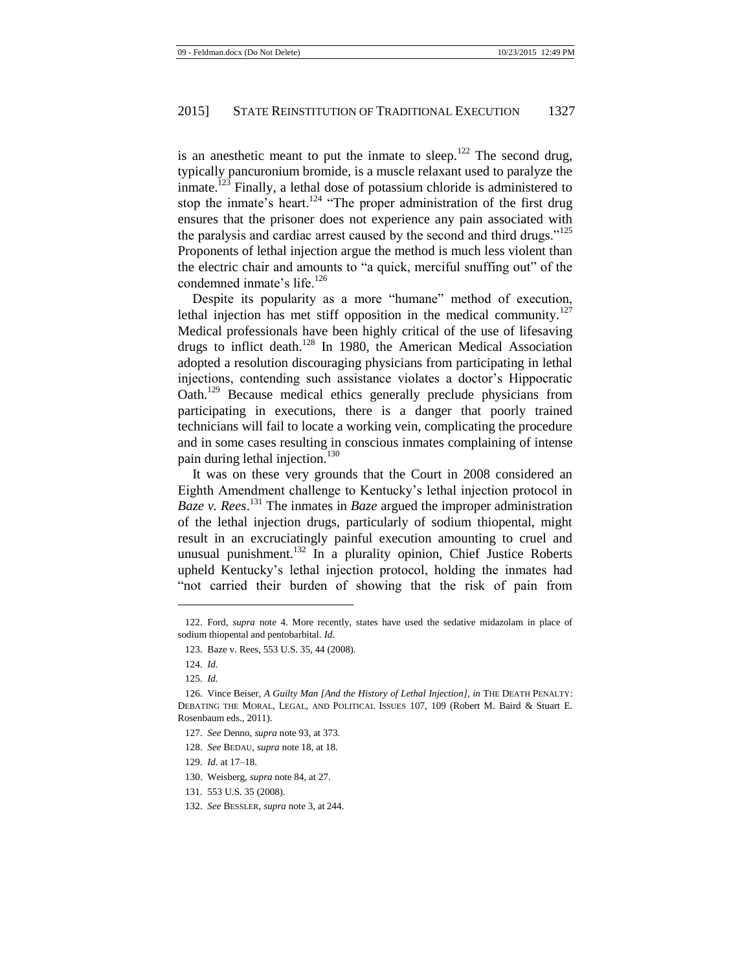is an anesthetic meant to put the inmate to sleep.<sup>122</sup> The second drug, typically pancuronium bromide, is a muscle relaxant used to paralyze the  $\lim$  inmate.<sup>123</sup> Finally, a lethal dose of potassium chloride is administered to stop the inmate's heart.<sup>124</sup> "The proper administration of the first drug ensures that the prisoner does not experience any pain associated with the paralysis and cardiac arrest caused by the second and third drugs."<sup>125</sup> Proponents of lethal injection argue the method is much less violent than the electric chair and amounts to "a quick, merciful snuffing out" of the condemned inmate's life.<sup>126</sup>

Despite its popularity as a more "humane" method of execution, lethal injection has met stiff opposition in the medical community.<sup>127</sup> Medical professionals have been highly critical of the use of lifesaving drugs to inflict death.<sup>128</sup> In 1980, the American Medical Association adopted a resolution discouraging physicians from participating in lethal injections, contending such assistance violates a doctor's Hippocratic Oath.<sup>129</sup> Because medical ethics generally preclude physicians from participating in executions, there is a danger that poorly trained technicians will fail to locate a working vein, complicating the procedure and in some cases resulting in conscious inmates complaining of intense pain during lethal injection.<sup>130</sup>

It was on these very grounds that the Court in 2008 considered an Eighth Amendment challenge to Kentucky's lethal injection protocol in *Baze v. Rees*. <sup>131</sup> The inmates in *Baze* argued the improper administration of the lethal injection drugs, particularly of sodium thiopental, might result in an excruciatingly painful execution amounting to cruel and unusual punishment.<sup>132</sup> In a plurality opinion, Chief Justice Roberts upheld Kentucky's lethal injection protocol, holding the inmates had "not carried their burden of showing that the risk of pain from

l

128. *See* BEDAU, *supra* not[e 18,](#page-3-2) at 18.

<sup>122.</sup> Ford, *supra* note [4.](#page-2-0) More recently, states have used the sedative midazolam in place of sodium thiopental and pentobarbital. *Id.*

<sup>123.</sup> Baze v. Rees, 553 U.S. 35, 44 (2008).

<sup>124.</sup> *Id.*

<sup>125.</sup> *Id.*

<sup>126.</sup> Vince Beiser, *A Guilty Man [And the History of Lethal Injection]*, *in* THE DEATH PENALTY: DEBATING THE MORAL, LEGAL, AND POLITICAL ISSUES 107, 109 (Robert M. Baird & Stuart E. Rosenbaum eds., 2011).

<sup>127.</sup> *See* Denno, *supra* not[e 93,](#page-11-0) at 373.

<sup>129.</sup> *Id.* at 17–18.

<sup>130.</sup> Weisberg, *supra* note 84, at 27.

<sup>131.</sup> 553 U.S. 35 (2008).

<sup>132.</sup> *See* BESSLER, *supra* not[e 3,](#page-1-0) at 244.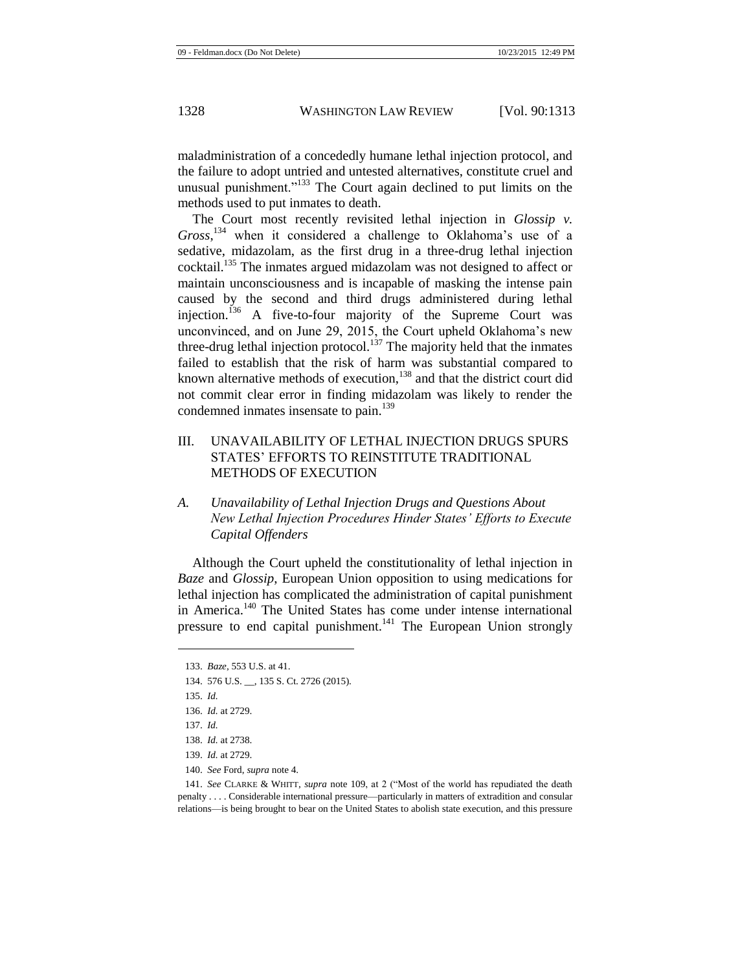maladministration of a concededly humane lethal injection protocol, and the failure to adopt untried and untested alternatives, constitute cruel and unusual punishment."<sup>133</sup> The Court again declined to put limits on the methods used to put inmates to death.

The Court most recently revisited lethal injection in *Glossip v*. *Gross*, <sup>134</sup> when it considered a challenge to Oklahoma's use of a sedative, midazolam, as the first drug in a three-drug lethal injection cocktail.<sup>135</sup> The inmates argued midazolam was not designed to affect or maintain unconsciousness and is incapable of masking the intense pain caused by the second and third drugs administered during lethal injection.<sup>136</sup> A five-to-four majority of the Supreme Court was unconvinced, and on June 29, 2015, the Court upheld Oklahoma's new three-drug lethal injection protocol.<sup>137</sup> The majority held that the inmates failed to establish that the risk of harm was substantial compared to known alternative methods of execution,<sup>138</sup> and that the district court did not commit clear error in finding midazolam was likely to render the condemned inmates insensate to pain.<sup>139</sup>

- III. UNAVAILABILITY OF LETHAL INJECTION DRUGS SPURS STATES' EFFORTS TO REINSTITUTE TRADITIONAL METHODS OF EXECUTION
- *A. Unavailability of Lethal Injection Drugs and Questions About New Lethal Injection Procedures Hinder States' Efforts to Execute Capital Offenders*

Although the Court upheld the constitutionality of lethal injection in *Baze* and *Glossip*, European Union opposition to using medications for lethal injection has complicated the administration of capital punishment in America.<sup>140</sup> The United States has come under intense international pressure to end capital punishment.<sup>141</sup> The European Union strongly

l

140. *See* Ford, *supra* not[e 4.](#page-2-0)

141. *See* CLARKE & WHITT, *supra* note [109,](#page-13-0) at 2 ("Most of the world has repudiated the death penalty . . . . Considerable international pressure—particularly in matters of extradition and consular relations—is being brought to bear on the United States to abolish state execution, and this pressure

<sup>133.</sup> *Baze*, 553 U.S. at 41.

<sup>134.</sup> 576 U.S. \_\_, 135 S. Ct. 2726 (2015).

<sup>135.</sup> *Id.*

<sup>136.</sup> *Id.* at 2729.

<sup>137.</sup> *Id.*

<sup>138.</sup> *Id.* at 2738.

<sup>139.</sup> *Id.* at 2729.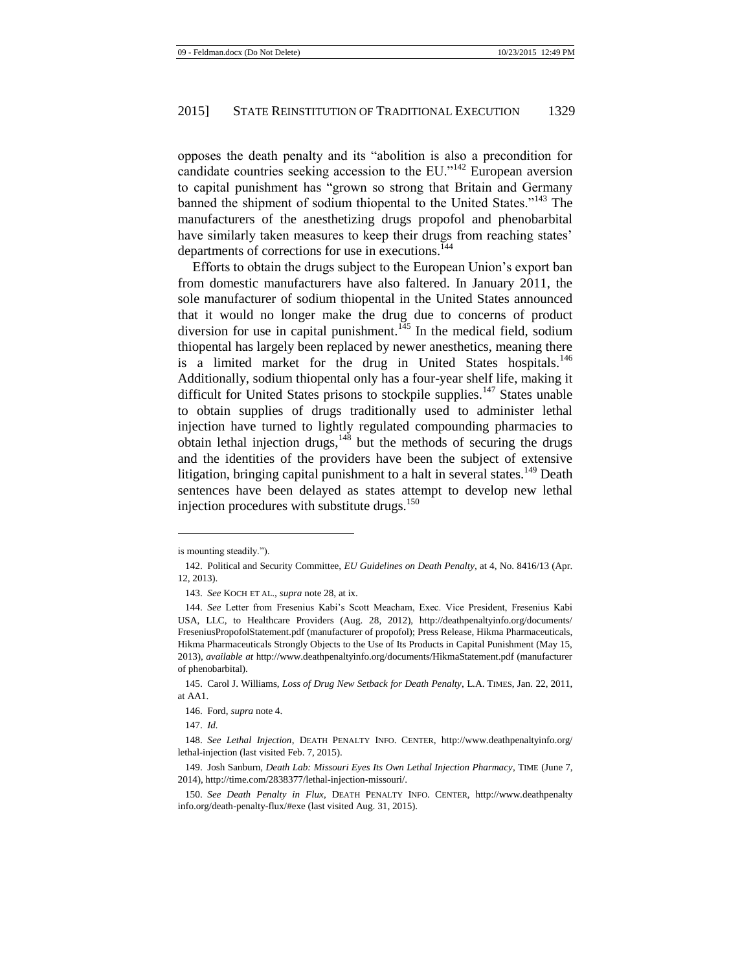opposes the death penalty and its "abolition is also a precondition for candidate countries seeking accession to the EU." $^{142}$  European aversion to capital punishment has "grown so strong that Britain and Germany banned the shipment of sodium thiopental to the United States."<sup>143</sup> The manufacturers of the anesthetizing drugs propofol and phenobarbital have similarly taken measures to keep their drugs from reaching states' departments of corrections for use in executions.<sup>144</sup>

Efforts to obtain the drugs subject to the European Union's export ban from domestic manufacturers have also faltered. In January 2011, the sole manufacturer of sodium thiopental in the United States announced that it would no longer make the drug due to concerns of product diversion for use in capital punishment.<sup> $145$ </sup> In the medical field, sodium thiopental has largely been replaced by newer anesthetics, meaning there is a limited market for the drug in United States hospitals.<sup>146</sup> Additionally, sodium thiopental only has a four-year shelf life, making it difficult for United States prisons to stockpile supplies.<sup>147</sup> States unable to obtain supplies of drugs traditionally used to administer lethal injection have turned to lightly regulated compounding pharmacies to obtain lethal injection drugs, $148$  but the methods of securing the drugs and the identities of the providers have been the subject of extensive litigation, bringing capital punishment to a halt in several states.<sup>149</sup> Death sentences have been delayed as states attempt to develop new lethal injection procedures with substitute drugs. $150$ 

<span id="page-17-0"></span>is mounting steadily.").

<sup>142.</sup> Political and Security Committee, *EU Guidelines on Death Penalty*, at 4, No. 8416/13 (Apr. 12, 2013).

<sup>143.</sup> *See* KOCH ET AL., *supra* not[e 28,](#page-4-0) at ix.

<sup>144.</sup> *See* Letter from Fresenius Kabi's Scott Meacham, Exec. Vice President, Fresenius Kabi USA, LLC, to Healthcare Providers (Aug. 28, 2012), http://deathpenaltyinfo.org/documents/ FreseniusPropofolStatement.pdf (manufacturer of propofol); Press Release, Hikma Pharmaceuticals, Hikma Pharmaceuticals Strongly Objects to the Use of Its Products in Capital Punishment (May 15, 2013), *available at* http://www.deathpenaltyinfo.org/documents/HikmaStatement.pdf (manufacturer of phenobarbital).

<sup>145.</sup> Carol J. Williams, *Loss of Drug New Setback for Death Penalty*, L.A. TIMES, Jan. 22, 2011, at AA1.

<sup>146.</sup> Ford, *supra* not[e 4.](#page-2-0)

<sup>147.</sup> *Id.*

<sup>148.</sup> *See Lethal Injection*, DEATH PENALTY INFO. CENTER, http://www.deathpenaltyinfo.org/ lethal-injection (last visited Feb. 7, 2015).

<sup>149.</sup> Josh Sanburn, *Death Lab: Missouri Eyes Its Own Lethal Injection Pharmacy*, TIME (June 7, 2014), http://time.com/2838377/lethal-injection-missouri/.

<sup>150.</sup> *See Death Penalty in Flux*, DEATH PENALTY INFO. CENTER, http://www.deathpenalty info.org/death-penalty-flux/#exe (last visited Aug. 31, 2015).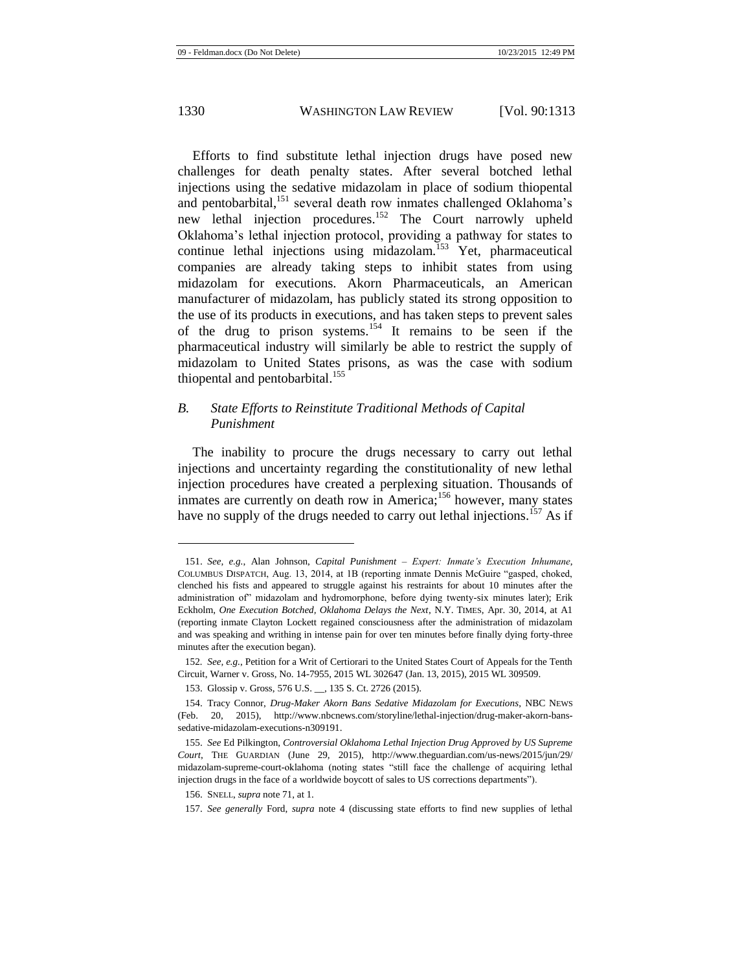Efforts to find substitute lethal injection drugs have posed new challenges for death penalty states. After several botched lethal injections using the sedative midazolam in place of sodium thiopental and pentobarbital,<sup>151</sup> several death row inmates challenged Oklahoma's new lethal injection procedures.<sup>152</sup> The Court narrowly upheld Oklahoma's lethal injection protocol, providing a pathway for states to continue lethal injections using midazolam.<sup>153</sup> Yet, pharmaceutical companies are already taking steps to inhibit states from using midazolam for executions. Akorn Pharmaceuticals, an American manufacturer of midazolam, has publicly stated its strong opposition to the use of its products in executions, and has taken steps to prevent sales of the drug to prison systems.<sup>154</sup> It remains to be seen if the pharmaceutical industry will similarly be able to restrict the supply of midazolam to United States prisons, as was the case with sodium thiopental and pentobarbital.<sup>155</sup>

# *B. State Efforts to Reinstitute Traditional Methods of Capital Punishment*

The inability to procure the drugs necessary to carry out lethal injections and uncertainty regarding the constitutionality of new lethal injection procedures have created a perplexing situation. Thousands of inmates are currently on death row in America;<sup>156</sup> however, many states have no supply of the drugs needed to carry out lethal injections.<sup>157</sup> As if

<sup>151.</sup> *See, e.g.*, Alan Johnson, *Capital Punishment – Expert: Inmate's Execution Inhumane*, COLUMBUS DISPATCH, Aug. 13, 2014, at 1B (reporting inmate Dennis McGuire "gasped, choked, clenched his fists and appeared to struggle against his restraints for about 10 minutes after the administration of" midazolam and hydromorphone, before dying twenty-six minutes later); Erik Eckholm, *One Execution Botched, Oklahoma Delays the Next*, N.Y. TIMES, Apr. 30, 2014, at A1 (reporting inmate Clayton Lockett regained consciousness after the administration of midazolam and was speaking and writhing in intense pain for over ten minutes before finally dying forty-three minutes after the execution began).

<sup>152</sup>*. See, e.g.*, Petition for a Writ of Certiorari to the United States Court of Appeals for the Tenth Circuit, Warner v. Gross, No. 14-7955, 2015 WL 302647 (Jan. 13, 2015), 2015 WL 309509.

<sup>153.</sup> Glossip v. Gross, 576 U.S. \_\_, 135 S. Ct. 2726 (2015).

<sup>154.</sup> Tracy Connor, *Drug-Maker Akorn Bans Sedative Midazolam for Executions*, NBC NEWS (Feb. 20, 2015), http://www.nbcnews.com/storyline/lethal-injection/drug-maker-akorn-banssedative-midazolam-executions-n309191.

<sup>155.</sup> *See* Ed Pilkington, *Controversial Oklahoma Lethal Injection Drug Approved by US Supreme Court*, THE GUARDIAN (June 29, 2015), http://www.theguardian.com/us-news/2015/jun/29/ midazolam-supreme-court-oklahoma (noting states "still face the challenge of acquiring lethal injection drugs in the face of a worldwide boycott of sales to US corrections departments").

<sup>156.</sup> SNELL, *supra* not[e 71,](#page-9-0) at 1.

<sup>157.</sup> *See generally* Ford, *supra* note [4](#page-2-0) (discussing state efforts to find new supplies of lethal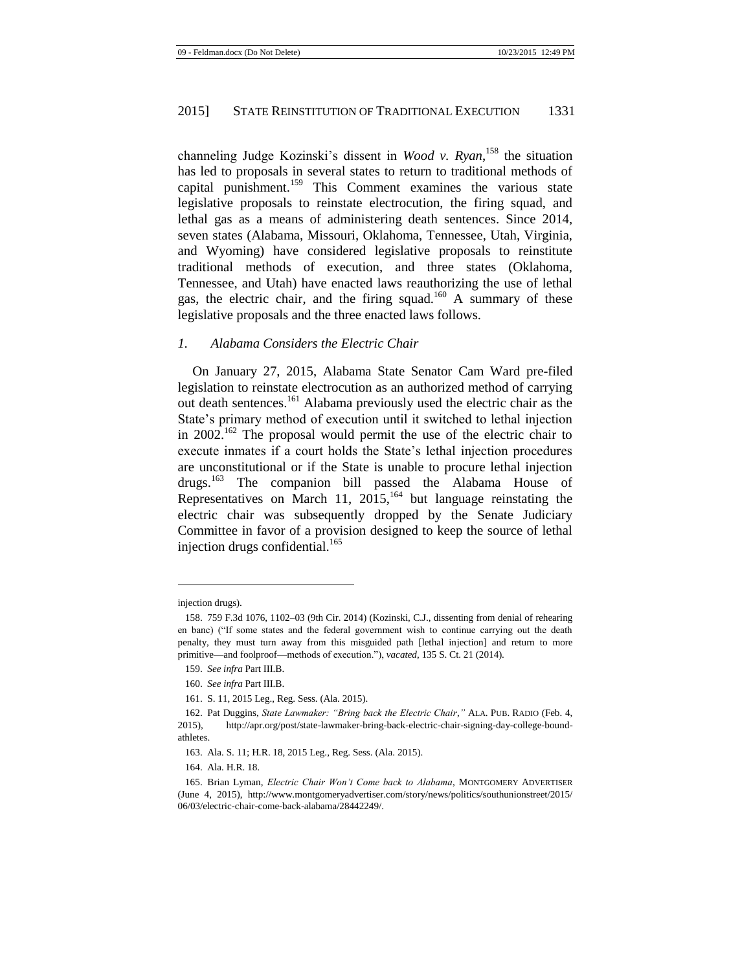channeling Judge Kozinski's dissent in *Wood v. Ryan*, <sup>158</sup> the situation has led to proposals in several states to return to traditional methods of capital punishment.<sup>159</sup> This Comment examines the various state legislative proposals to reinstate electrocution, the firing squad, and lethal gas as a means of administering death sentences. Since 2014, seven states (Alabama, Missouri, Oklahoma, Tennessee, Utah, Virginia, and Wyoming) have considered legislative proposals to reinstitute traditional methods of execution, and three states (Oklahoma, Tennessee, and Utah) have enacted laws reauthorizing the use of lethal gas, the electric chair, and the firing squad.<sup>160</sup> A summary of these legislative proposals and the three enacted laws follows.

# *1. Alabama Considers the Electric Chair*

On January 27, 2015, Alabama State Senator Cam Ward pre-filed legislation to reinstate electrocution as an authorized method of carrying out death sentences.<sup>161</sup> Alabama previously used the electric chair as the State's primary method of execution until it switched to lethal injection in 2002.<sup>162</sup> The proposal would permit the use of the electric chair to execute inmates if a court holds the State's lethal injection procedures are unconstitutional or if the State is unable to procure lethal injection drugs.<sup>163</sup> The companion bill passed the Alabama House of Representatives on March 11,  $2015$ ,<sup>164</sup> but language reinstating the electric chair was subsequently dropped by the Senate Judiciary Committee in favor of a provision designed to keep the source of lethal injection drugs confidential. $165$ 

injection drugs).

<sup>158.</sup> 759 F.3d 1076, 1102–03 (9th Cir. 2014) (Kozinski, C.J., dissenting from denial of rehearing en banc) ("If some states and the federal government wish to continue carrying out the death penalty, they must turn away from this misguided path [lethal injection] and return to more primitive—and foolproof—methods of execution."), *vacated*, 135 S. Ct. 21 (2014).

<sup>159.</sup> *See infra* Part III.B.

<sup>160.</sup> *See infra* Part III.B.

<sup>161.</sup> S. 11, 2015 Leg., Reg. Sess. (Ala. 2015).

<sup>162.</sup> Pat Duggins, *State Lawmaker: "Bring back the Electric Chair*,*"* ALA. PUB. RADIO (Feb. 4, 2015), http://apr.org/post/state-lawmaker-bring-back-electric-chair-signing-day-college-boundathletes.

<sup>163.</sup> Ala. S. 11; H.R. 18, 2015 Leg., Reg. Sess. (Ala. 2015).

<sup>164.</sup> Ala. H.R. 18.

<sup>165.</sup> Brian Lyman, *Electric Chair Won't Come back to Alabama*, MONTGOMERY ADVERTISER (June 4, 2015), http://www.montgomeryadvertiser.com/story/news/politics/southunionstreet/2015/ 06/03/electric-chair-come-back-alabama/28442249/.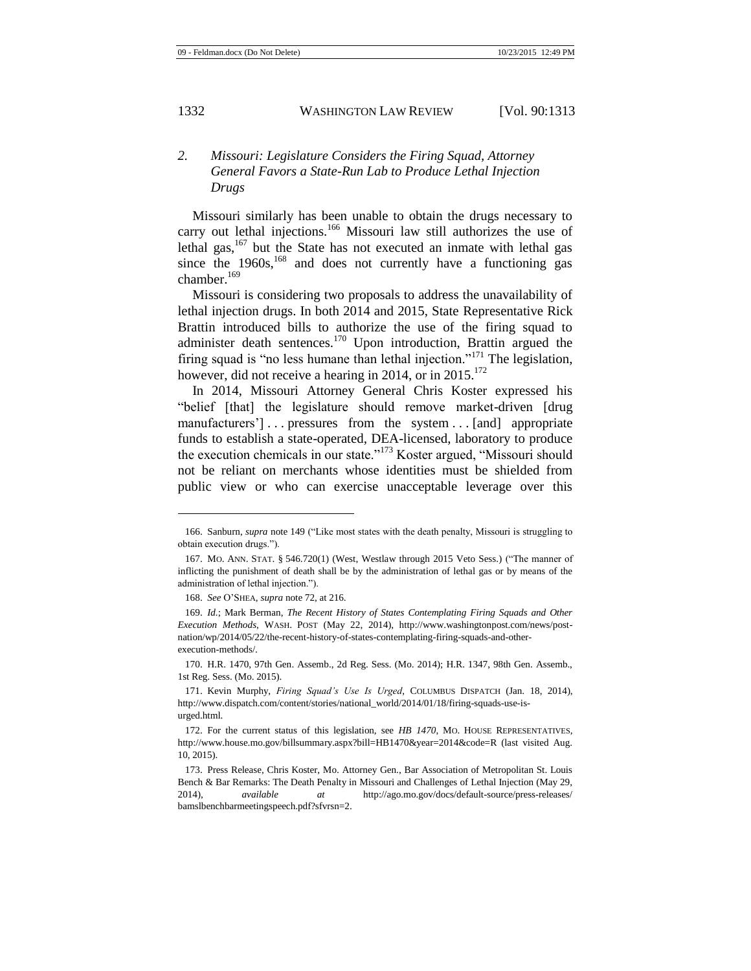# *2. Missouri: Legislature Considers the Firing Squad, Attorney General Favors a State-Run Lab to Produce Lethal Injection Drugs*

Missouri similarly has been unable to obtain the drugs necessary to carry out lethal injections.<sup>166</sup> Missouri law still authorizes the use of lethal gas,  $167$  but the State has not executed an inmate with lethal gas since the  $1960s$ ,  $^{168}$  and does not currently have a functioning gas chamber.<sup>169</sup>

Missouri is considering two proposals to address the unavailability of lethal injection drugs. In both 2014 and 2015, State Representative Rick Brattin introduced bills to authorize the use of the firing squad to administer death sentences.<sup>170</sup> Upon introduction, Brattin argued the firing squad is "no less humane than lethal injection."<sup>171</sup> The legislation, however, did not receive a hearing in 2014, or in 2015.<sup>172</sup>

In 2014, Missouri Attorney General Chris Koster expressed his "belief [that] the legislature should remove market-driven [drug manufacturers'] . . . pressures from the system . . . [and] appropriate funds to establish a state-operated, DEA-licensed, laboratory to produce the execution chemicals in our state."<sup>173</sup> Koster argued, "Missouri should" not be reliant on merchants whose identities must be shielded from public view or who can exercise unacceptable leverage over this

<sup>166.</sup> Sanburn, *supra* not[e 149](#page-17-0) ("Like most states with the death penalty, Missouri is struggling to obtain execution drugs.").

<sup>167.</sup> MO. ANN. STAT. § 546.720(1) (West, Westlaw through 2015 Veto Sess.) ("The manner of inflicting the punishment of death shall be by the administration of lethal gas or by means of the administration of lethal injection.").

<sup>168.</sup> *See* O'SHEA, *supra* not[e 72,](#page-9-1) at 216.

<sup>169.</sup> *Id.*; Mark Berman, *The Recent History of States Contemplating Firing Squads and Other Execution Methods*, WASH. POST (May 22, 2014), http://www.washingtonpost.com/news/postnation/wp/2014/05/22/the-recent-history-of-states-contemplating-firing-squads-and-otherexecution-methods/.

<sup>170.</sup> H.R. 1470, 97th Gen. Assemb., 2d Reg. Sess. (Mo. 2014); H.R. 1347, 98th Gen. Assemb., 1st Reg. Sess. (Mo. 2015).

<sup>171.</sup> Kevin Murphy, *Firing Squad's Use Is Urged*, COLUMBUS DISPATCH (Jan. 18, 2014), http://www.dispatch.com/content/stories/national\_world/2014/01/18/firing-squads-use-isurged.html.

<sup>172.</sup> For the current status of this legislation, see *HB 1470*, MO. HOUSE REPRESENTATIVES, http://www.house.mo.gov/billsummary.aspx?bill=HB1470&year=2014&code=R (last visited Aug. 10, 2015).

<sup>173.</sup> Press Release, Chris Koster, Mo. Attorney Gen., Bar Association of Metropolitan St. Louis Bench & Bar Remarks: The Death Penalty in Missouri and Challenges of Lethal Injection (May 29, 2014), *available at* http://ago.mo.gov/docs/default-source/press-releases/ bamslbenchbarmeetingspeech.pdf?sfvrsn=2.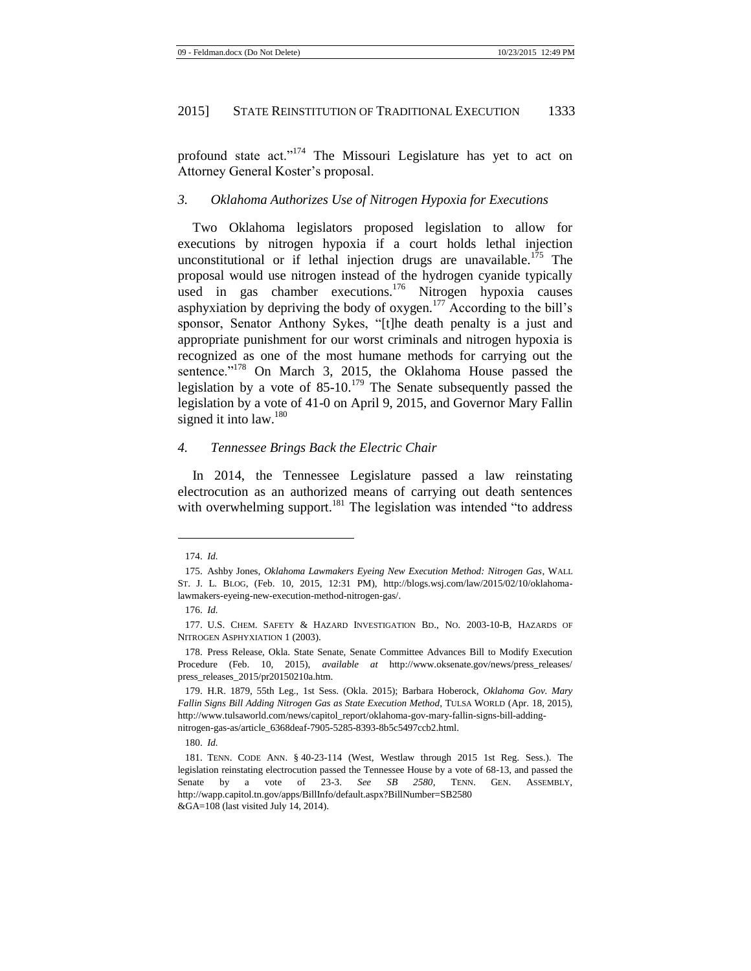profound state act."<sup>174</sup> The Missouri Legislature has yet to act on Attorney General Koster's proposal.

#### *3. Oklahoma Authorizes Use of Nitrogen Hypoxia for Executions*

Two Oklahoma legislators proposed legislation to allow for executions by nitrogen hypoxia if a court holds lethal injection unconstitutional or if lethal injection drugs are unavailable.<sup>175</sup> The proposal would use nitrogen instead of the hydrogen cyanide typically used in gas chamber executions.<sup>176</sup> Nitrogen hypoxia causes asphyxiation by depriving the body of oxygen.<sup>177</sup> According to the bill's sponsor, Senator Anthony Sykes, "[t]he death penalty is a just and appropriate punishment for our worst criminals and nitrogen hypoxia is recognized as one of the most humane methods for carrying out the sentence."<sup>178</sup> On March 3, 2015, the Oklahoma House passed the legislation by a vote of  $85{\text -}10^{179}$  The Senate subsequently passed the legislation by a vote of 41-0 on April 9, 2015, and Governor Mary Fallin signed it into law.<sup>180</sup>

### *4. Tennessee Brings Back the Electric Chair*

In 2014, the Tennessee Legislature passed a law reinstating electrocution as an authorized means of carrying out death sentences with overwhelming support.<sup>181</sup> The legislation was intended "to address

l

180. *Id.*

<sup>174.</sup> *Id.*

<sup>175.</sup> Ashby Jones, *Oklahoma Lawmakers Eyeing New Execution Method: Nitrogen Gas*, WALL ST. J. L. BLOG, (Feb. 10, 2015, 12:31 PM), http://blogs.wsj.com/law/2015/02/10/oklahomalawmakers-eyeing-new-execution-method-nitrogen-gas/.

<sup>176.</sup> *Id.*

<sup>177.</sup> U.S. CHEM. SAFETY & HAZARD INVESTIGATION BD., NO. 2003-10-B, HAZARDS OF NITROGEN ASPHYXIATION 1 (2003).

<sup>178.</sup> Press Release, Okla. State Senate, Senate Committee Advances Bill to Modify Execution Procedure (Feb. 10, 2015), *available at* http://www.oksenate.gov/news/press\_releases/ press\_releases\_2015/pr20150210a.htm.

<sup>179.</sup> H.R. 1879, 55th Leg., 1st Sess. (Okla. 2015); Barbara Hoberock, *Oklahoma Gov. Mary Fallin Signs Bill Adding Nitrogen Gas as State Execution Method*, TULSA WORLD (Apr. 18, 2015), http://www.tulsaworld.com/news/capitol\_report/oklahoma-gov-mary-fallin-signs-bill-addingnitrogen-gas-as/article\_6368deaf-7905-5285-8393-8b5c5497ccb2.html.

<sup>181.</sup> TENN. CODE ANN. § 40-23-114 (West, Westlaw through 2015 1st Reg. Sess.). The legislation reinstating electrocution passed the Tennessee House by a vote of 68-13, and passed the Senate by a vote of 23-3. *See SB 2580*, TENN. GEN. ASSEMBLY, http://wapp.capitol.tn.gov/apps/BillInfo/default.aspx?BillNumber=SB2580 &GA=108 (last visited July 14, 2014).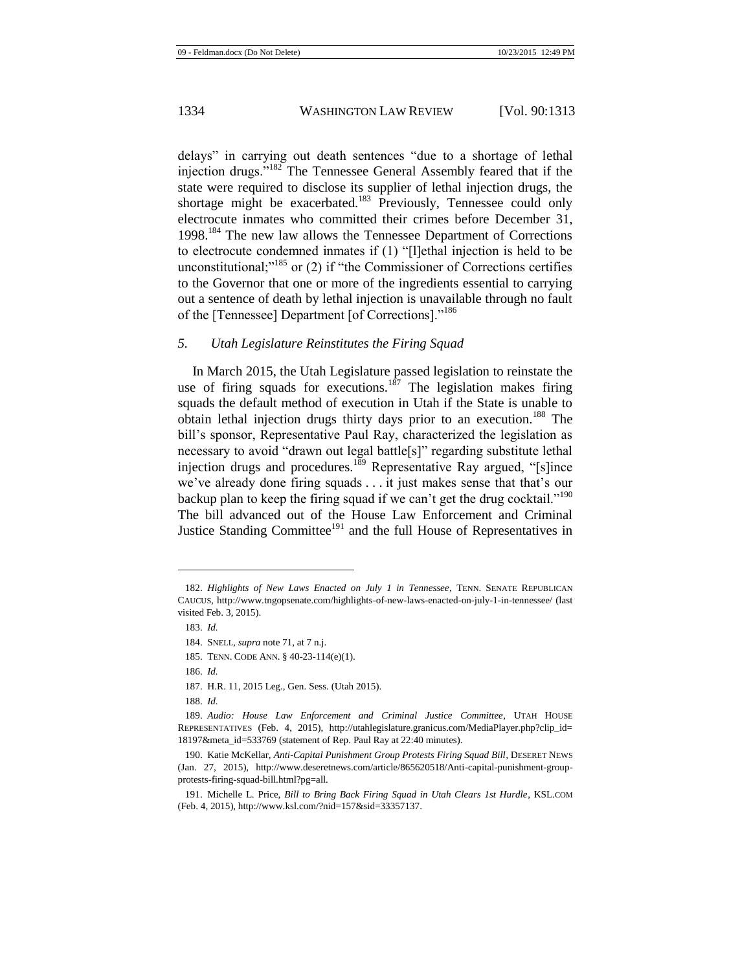delays" in carrying out death sentences "due to a shortage of lethal injection drugs."<sup>182</sup> The Tennessee General Assembly feared that if the state were required to disclose its supplier of lethal injection drugs, the shortage might be exacerbated.<sup>183</sup> Previously, Tennessee could only electrocute inmates who committed their crimes before December 31, 1998.<sup>184</sup> The new law allows the Tennessee Department of Corrections to electrocute condemned inmates if (1) "[l]ethal injection is held to be unconstitutional; $^{185}$  or (2) if "the Commissioner of Corrections certifies to the Governor that one or more of the ingredients essential to carrying out a sentence of death by lethal injection is unavailable through no fault of the [Tennessee] Department [of Corrections]."<sup>186</sup>

#### *5. Utah Legislature Reinstitutes the Firing Squad*

In March 2015, the Utah Legislature passed legislation to reinstate the use of firing squads for executions.<sup>187</sup> The legislation makes firing squads the default method of execution in Utah if the State is unable to obtain lethal injection drugs thirty days prior to an execution.<sup>188</sup> The bill's sponsor, Representative Paul Ray, characterized the legislation as necessary to avoid "drawn out legal battle[s]" regarding substitute lethal injection drugs and procedures.<sup>189</sup> Representative Ray argued, "[s]ince we've already done firing squads . . . it just makes sense that that's our backup plan to keep the firing squad if we can't get the drug cocktail."<sup>190</sup> The bill advanced out of the House Law Enforcement and Criminal Justice Standing Committee<sup>191</sup> and the full House of Representatives in

<sup>182.</sup> *Highlights of New Laws Enacted on July 1 in Tennessee*, TENN. SENATE REPUBLICAN CAUCUS, http://www.tngopsenate.com/highlights-of-new-laws-enacted-on-july-1-in-tennessee/ (last visited Feb. 3, 2015).

<sup>183.</sup> *Id.*

<sup>184.</sup> SNELL, *supra* not[e 71,](#page-9-0) at 7 n.j.

<sup>185.</sup> TENN. CODE ANN. § 40-23-114(e)(1).

<sup>186.</sup> *Id.*

<sup>187.</sup> H.R. 11, 2015 Leg., Gen. Sess. (Utah 2015).

<sup>188.</sup> *Id.*

<sup>189.</sup> *Audio: House Law Enforcement and Criminal Justice Committee*, UTAH HOUSE REPRESENTATIVES (Feb. 4, 2015), http://utahlegislature.granicus.com/MediaPlayer.php?clip\_id= 18197&meta\_id=533769 (statement of Rep. Paul Ray at 22:40 minutes).

<sup>190.</sup> Katie McKellar, *Anti-Capital Punishment Group Protests Firing Squad Bill*, DESERET NEWS (Jan. 27, 2015), http://www.deseretnews.com/article/865620518/Anti-capital-punishment-groupprotests-firing-squad-bill.html?pg=all.

<sup>191.</sup> Michelle L. Price, *Bill to Bring Back Firing Squad in Utah Clears 1st Hurdle*, KSL.COM (Feb. 4, 2015), http://www.ksl.com/?nid=157&sid=33357137.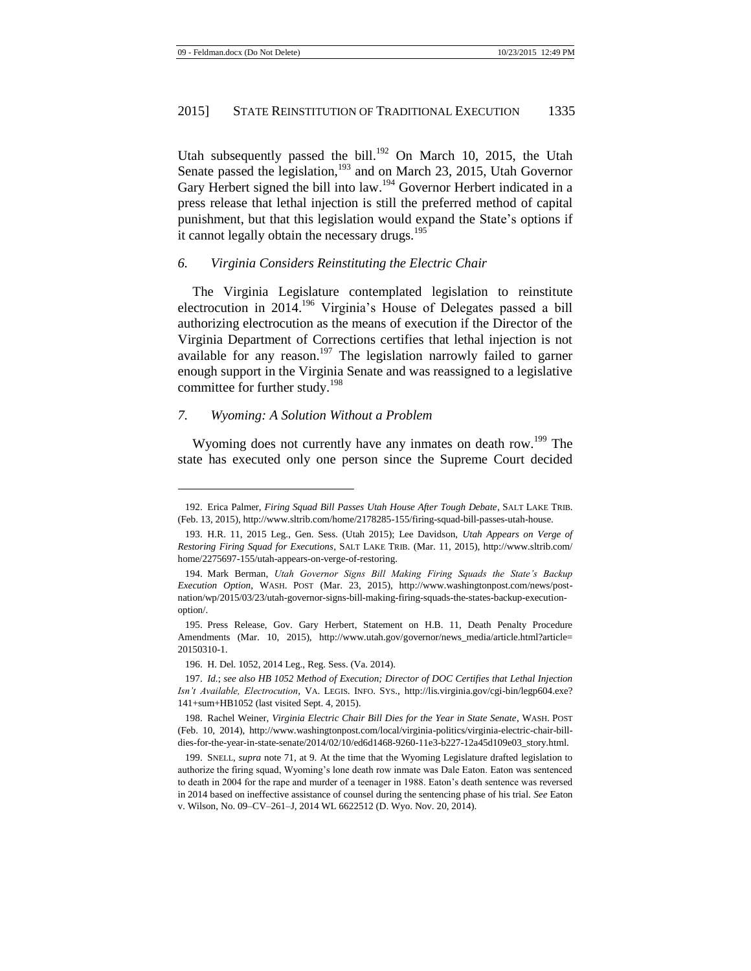<span id="page-23-0"></span>Utah subsequently passed the bill.<sup>192</sup> On March 10, 2015, the Utah Senate passed the legislation,<sup>193</sup> and on March 23, 2015, Utah Governor Gary Herbert signed the bill into law.<sup>194</sup> Governor Herbert indicated in a press release that lethal injection is still the preferred method of capital punishment, but that this legislation would expand the State's options if it cannot legally obtain the necessary drugs.<sup>195</sup>

#### *6. Virginia Considers Reinstituting the Electric Chair*

The Virginia Legislature contemplated legislation to reinstitute electrocution in 2014.<sup>196</sup> Virginia's House of Delegates passed a bill authorizing electrocution as the means of execution if the Director of the Virginia Department of Corrections certifies that lethal injection is not available for any reason.<sup>197</sup> The legislation narrowly failed to garner enough support in the Virginia Senate and was reassigned to a legislative committee for further study.<sup>198</sup>

#### *7. Wyoming: A Solution Without a Problem*

l

Wyoming does not currently have any inmates on death row.<sup>199</sup> The state has executed only one person since the Supreme Court decided

<sup>192.</sup> Erica Palmer, *Firing Squad Bill Passes Utah House After Tough Debate*, SALT LAKE TRIB. (Feb. 13, 2015), http://www.sltrib.com/home/2178285-155/firing-squad-bill-passes-utah-house.

<sup>193.</sup> H.R. 11, 2015 Leg., Gen. Sess. (Utah 2015); Lee Davidson, *Utah Appears on Verge of Restoring Firing Squad for Executions*, SALT LAKE TRIB. (Mar. 11, 2015), http://www.sltrib.com/ home/2275697-155/utah-appears-on-verge-of-restoring.

<sup>194.</sup> Mark Berman, *Utah Governor Signs Bill Making Firing Squads the State's Backup Execution Option*, WASH. POST (Mar. 23, 2015), http://www.washingtonpost.com/news/postnation/wp/2015/03/23/utah-governor-signs-bill-making-firing-squads-the-states-backup-executionoption/.

<sup>195.</sup> Press Release, Gov. Gary Herbert, Statement on H.B. 11, Death Penalty Procedure Amendments (Mar. 10, 2015), http://www.utah.gov/governor/news\_media/article.html?article= 20150310-1.

<sup>196.</sup> H. Del. 1052, 2014 Leg., Reg. Sess. (Va. 2014).

<sup>197.</sup> *Id.*; *see also HB 1052 Method of Execution; Director of DOC Certifies that Lethal Injection Isn't Available, Electrocution*, VA. LEGIS. INFO. SYS., http://lis.virginia.gov/cgi-bin/legp604.exe? 141+sum+HB1052 (last visited Sept. 4, 2015).

<sup>198.</sup> Rachel Weiner, *Virginia Electric Chair Bill Dies for the Year in State Senate*, WASH. POST (Feb. 10, 2014), http://www.washingtonpost.com/local/virginia-politics/virginia-electric-chair-billdies-for-the-year-in-state-senate/2014/02/10/ed6d1468-9260-11e3-b227-12a45d109e03\_story.html.

<sup>199.</sup> SNELL, *supra* not[e 71,](#page-9-0) at 9. At the time that the Wyoming Legislature drafted legislation to authorize the firing squad, Wyoming's lone death row inmate was Dale Eaton. Eaton was sentenced to death in 2004 for the rape and murder of a teenager in 1988. Eaton's death sentence was reversed in 2014 based on ineffective assistance of counsel during the sentencing phase of his trial. *See* Eaton v. Wilson, No. 09–CV–261–J, 2014 WL 6622512 (D. Wyo. Nov. 20, 2014).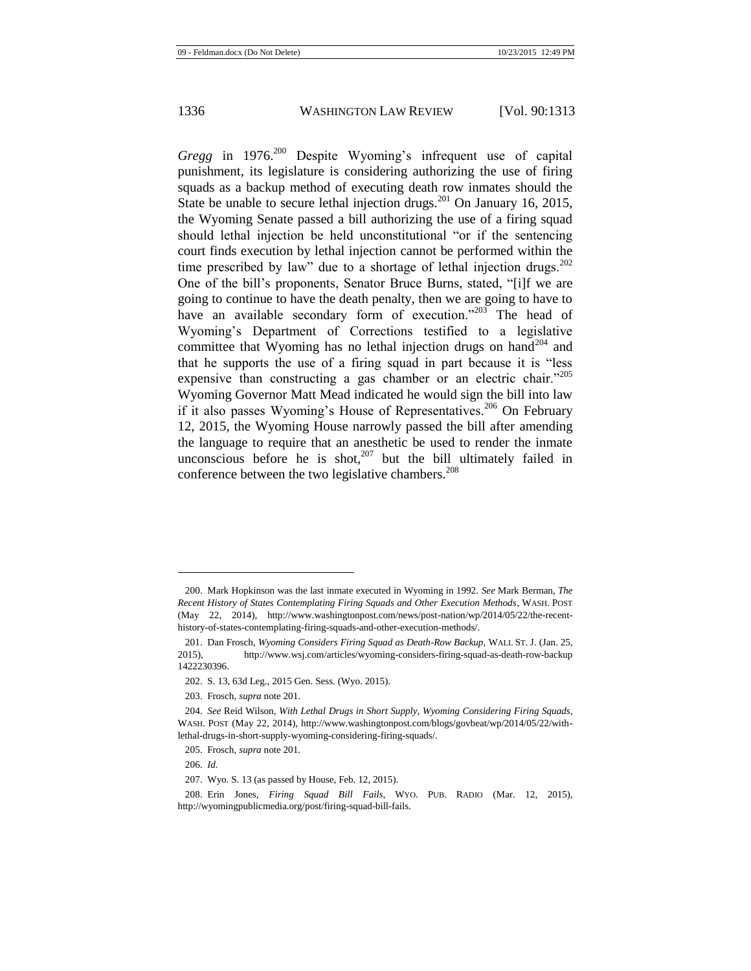<span id="page-24-0"></span>*Gregg* in 1976.<sup>200</sup> Despite Wyoming's infrequent use of capital punishment, its legislature is considering authorizing the use of firing squads as a backup method of executing death row inmates should the State be unable to secure lethal injection drugs.<sup>201</sup> On January 16, 2015, the Wyoming Senate passed a bill authorizing the use of a firing squad should lethal injection be held unconstitutional "or if the sentencing court finds execution by lethal injection cannot be performed within the time prescribed by law" due to a shortage of lethal injection drugs.<sup>202</sup> One of the bill's proponents, Senator Bruce Burns, stated, "[i]f we are going to continue to have the death penalty, then we are going to have to have an available secondary form of execution."<sup>203</sup> The head of Wyoming's Department of Corrections testified to a legislative committee that Wyoming has no lethal injection drugs on hand<sup>204</sup> and that he supports the use of a firing squad in part because it is "less expensive than constructing a gas chamber or an electric chair."<sup>205</sup> Wyoming Governor Matt Mead indicated he would sign the bill into law if it also passes Wyoming's House of Representatives.<sup>206</sup> On February 12, 2015, the Wyoming House narrowly passed the bill after amending the language to require that an anesthetic be used to render the inmate unconscious before he is shot, $207$  but the bill ultimately failed in conference between the two legislative chambers.<sup>208</sup>

<sup>200.</sup> Mark Hopkinson was the last inmate executed in Wyoming in 1992. *See* Mark Berman, *The Recent History of States Contemplating Firing Squads and Other Execution Methods*, WASH. POST (May 22, 2014), http://www.washingtonpost.com/news/post-nation/wp/2014/05/22/the-recenthistory-of-states-contemplating-firing-squads-and-other-execution-methods/.

<sup>201.</sup> Dan Frosch, *Wyoming Considers Firing Squad as Death-Row Backup*, WALL ST. J. (Jan. 25, 2015), http://www.wsj.com/articles/wyoming-considers-firing-squad-as-death-row-backup 1422230396.

<sup>202.</sup> S. 13, 63d Leg., 2015 Gen. Sess. (Wyo. 2015).

<sup>203.</sup> Frosch, *supra* not[e 201.](#page-24-0)

<sup>204.</sup> *See* Reid Wilson, *With Lethal Drugs in Short Supply, Wyoming Considering Firing Squads*, WASH. POST (May 22, 2014), http://www.washingtonpost.com/blogs/govbeat/wp/2014/05/22/withlethal-drugs-in-short-supply-wyoming-considering-firing-squads/.

<sup>205.</sup> Frosch, *supra* not[e 201.](#page-24-0)

<sup>206.</sup> *Id.*

<sup>207.</sup> Wyo. S. 13 (as passed by House, Feb. 12, 2015).

<sup>208.</sup> Erin Jones, *Firing Squad Bill Fails*, WYO. PUB. RADIO (Mar. 12, 2015), http://wyomingpublicmedia.org/post/firing-squad-bill-fails.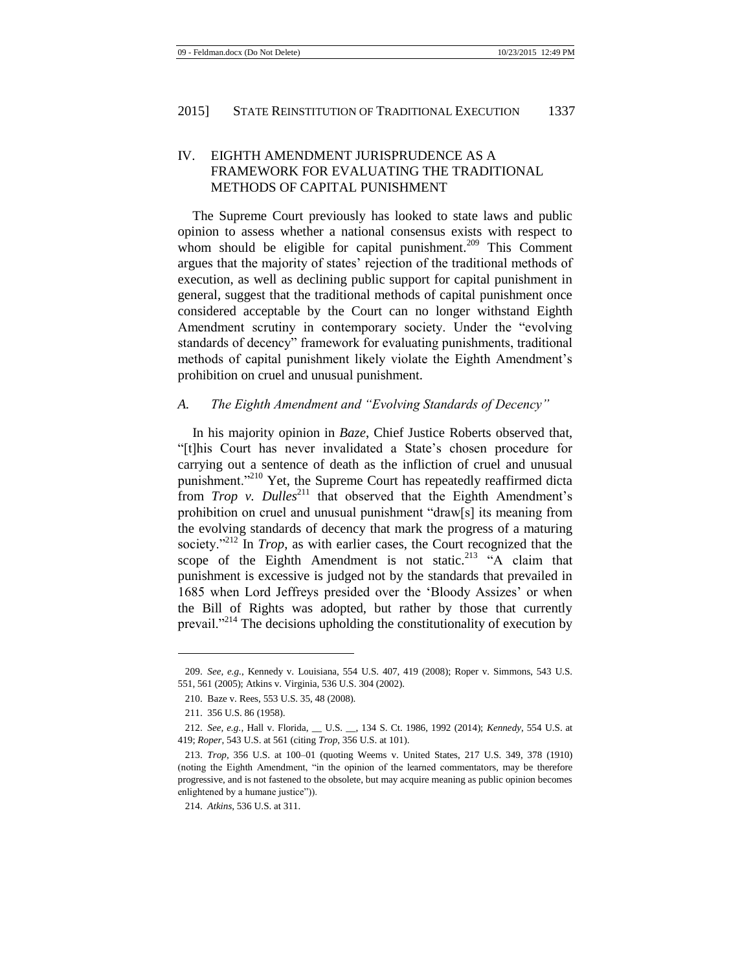# IV. EIGHTH AMENDMENT JURISPRUDENCE AS A FRAMEWORK FOR EVALUATING THE TRADITIONAL METHODS OF CAPITAL PUNISHMENT

The Supreme Court previously has looked to state laws and public opinion to assess whether a national consensus exists with respect to whom should be eligible for capital punishment.<sup>209</sup> This Comment argues that the majority of states' rejection of the traditional methods of execution, as well as declining public support for capital punishment in general, suggest that the traditional methods of capital punishment once considered acceptable by the Court can no longer withstand Eighth Amendment scrutiny in contemporary society. Under the "evolving standards of decency" framework for evaluating punishments, traditional methods of capital punishment likely violate the Eighth Amendment's prohibition on cruel and unusual punishment.

### *A. The Eighth Amendment and "Evolving Standards of Decency"*

In his majority opinion in *Baze*, Chief Justice Roberts observed that, "[t]his Court has never invalidated a State's chosen procedure for carrying out a sentence of death as the infliction of cruel and unusual punishment."<sup>210</sup> Yet, the Supreme Court has repeatedly reaffirmed dicta from *Trop v. Dulles*<sup>211</sup> that observed that the Eighth Amendment's prohibition on cruel and unusual punishment "draw[s] its meaning from the evolving standards of decency that mark the progress of a maturing society."<sup>212</sup> In *Trop*, as with earlier cases, the Court recognized that the scope of the Eighth Amendment is not static.<sup>213</sup> "A claim that punishment is excessive is judged not by the standards that prevailed in 1685 when Lord Jeffreys presided over the 'Bloody Assizes' or when the Bill of Rights was adopted, but rather by those that currently prevail."<sup> $214$ </sup> The decisions upholding the constitutionality of execution by

<sup>209.</sup> *See, e.g.*, Kennedy v. Louisiana, 554 U.S. 407, 419 (2008); Roper v. Simmons, 543 U.S. 551, 561 (2005); Atkins v. Virginia, 536 U.S. 304 (2002).

<sup>210.</sup> Baze v. Rees, 553 U.S. 35, 48 (2008).

<sup>211.</sup> 356 U.S. 86 (1958).

<sup>212.</sup> *See, e.g.*, Hall v. Florida, \_\_ U.S. \_\_, 134 S. Ct. 1986, 1992 (2014); *Kennedy*, 554 U.S. at 419; *Roper*, 543 U.S. at 561 (citing *Trop*, 356 U.S. at 101).

<sup>213.</sup> *Trop*, 356 U.S. at 100–01 (quoting Weems v. United States, 217 U.S. 349, 378 (1910) (noting the Eighth Amendment, "in the opinion of the learned commentators, may be therefore progressive, and is not fastened to the obsolete, but may acquire meaning as public opinion becomes enlightened by a humane justice")).

<sup>214.</sup> *Atkins*, 536 U.S. at 311.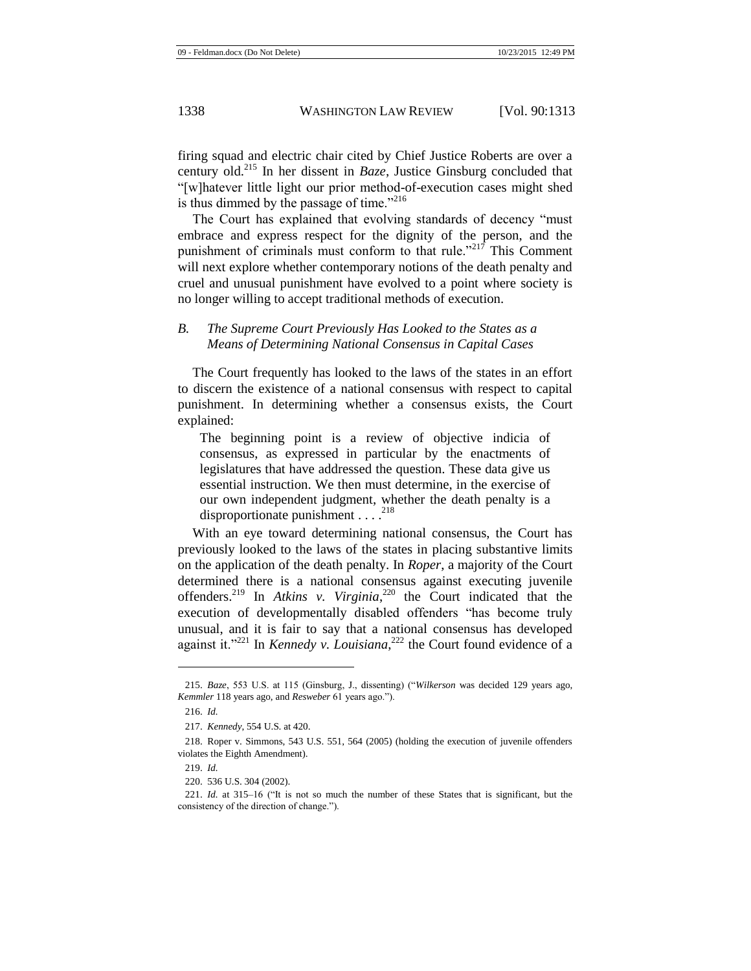firing squad and electric chair cited by Chief Justice Roberts are over a century old.<sup>215</sup> In her dissent in *Baze*, Justice Ginsburg concluded that "[w]hatever little light our prior method-of-execution cases might shed is thus dimmed by the passage of time."<sup>216</sup>

The Court has explained that evolving standards of decency "must embrace and express respect for the dignity of the person, and the punishment of criminals must conform to that rule."<sup>217</sup> This Comment will next explore whether contemporary notions of the death penalty and cruel and unusual punishment have evolved to a point where society is no longer willing to accept traditional methods of execution.

## *B. The Supreme Court Previously Has Looked to the States as a Means of Determining National Consensus in Capital Cases*

The Court frequently has looked to the laws of the states in an effort to discern the existence of a national consensus with respect to capital punishment. In determining whether a consensus exists, the Court explained:

The beginning point is a review of objective indicia of consensus, as expressed in particular by the enactments of legislatures that have addressed the question. These data give us essential instruction. We then must determine, in the exercise of our own independent judgment, whether the death penalty is a disproportionate punishment . . . . 218

With an eye toward determining national consensus, the Court has previously looked to the laws of the states in placing substantive limits on the application of the death penalty. In *Roper*, a majority of the Court determined there is a national consensus against executing juvenile offenders.<sup>219</sup> In *Atkins v. Virginia*, <sup>220</sup> the Court indicated that the execution of developmentally disabled offenders "has become truly unusual, and it is fair to say that a national consensus has developed against it."<sup>221</sup> In *Kennedy v. Louisiana*, <sup>222</sup> the Court found evidence of a

<sup>215.</sup> *Baze*, 553 U.S. at 115 (Ginsburg, J., dissenting) ("*Wilkerson* was decided 129 years ago, *Kemmler* 118 years ago, and *Resweber* 61 years ago.").

<sup>216.</sup> *Id.*

<sup>217.</sup> *Kennedy*, 554 U.S. at 420.

<sup>218.</sup> Roper v. Simmons, 543 U.S. 551, 564 (2005) (holding the execution of juvenile offenders violates the Eighth Amendment).

<sup>219.</sup> *Id.*

<sup>220.</sup> 536 U.S. 304 (2002).

<sup>221.</sup> *Id.* at 315–16 ("It is not so much the number of these States that is significant, but the consistency of the direction of change.").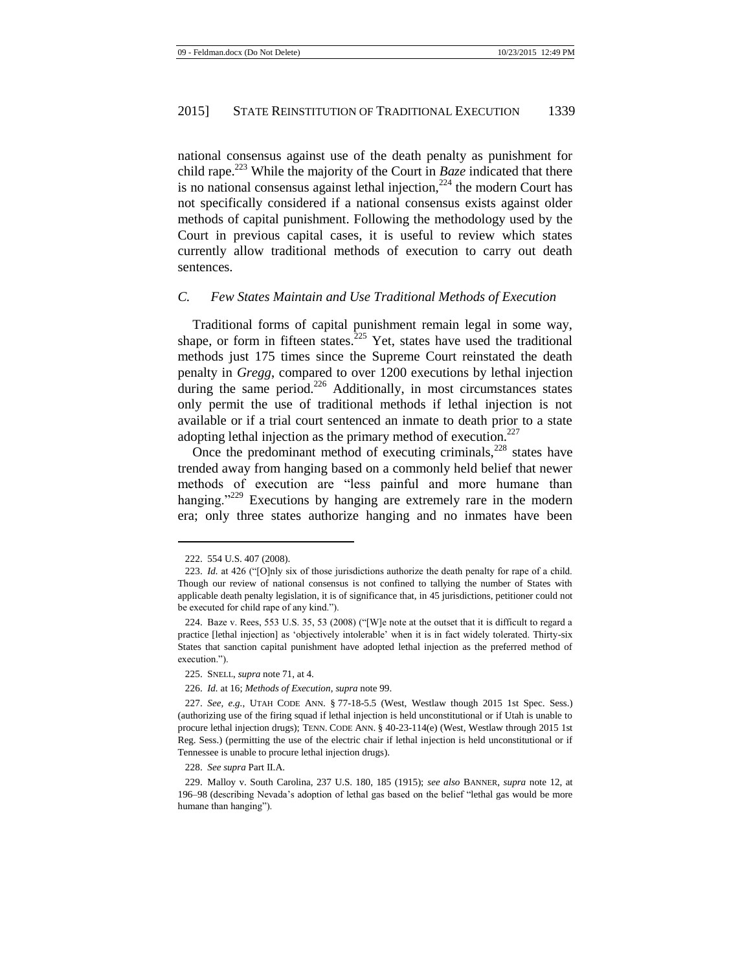national consensus against use of the death penalty as punishment for child rape.<sup>223</sup> While the majority of the Court in *Baze* indicated that there is no national consensus against lethal injection, $224$  the modern Court has not specifically considered if a national consensus exists against older methods of capital punishment. Following the methodology used by the Court in previous capital cases, it is useful to review which states currently allow traditional methods of execution to carry out death sentences.

#### *C. Few States Maintain and Use Traditional Methods of Execution*

Traditional forms of capital punishment remain legal in some way, shape, or form in fifteen states.<sup>225</sup> Yet, states have used the traditional methods just 175 times since the Supreme Court reinstated the death penalty in *Gregg*, compared to over 1200 executions by lethal injection during the same period. $^{226}$  Additionally, in most circumstances states only permit the use of traditional methods if lethal injection is not available or if a trial court sentenced an inmate to death prior to a state adopting lethal injection as the primary method of execution. $227$ 

Once the predominant method of executing criminals, $228$  states have trended away from hanging based on a commonly held belief that newer methods of execution are "less painful and more humane than hanging."<sup>229</sup> Executions by hanging are extremely rare in the modern era; only three states authorize hanging and no inmates have been

 $\overline{\phantom{a}}$ 

228. *See supra* Part II.A.

<sup>222.</sup> 554 U.S. 407 (2008).

<sup>223.</sup> *Id.* at 426 ("[O]nly six of those jurisdictions authorize the death penalty for rape of a child. Though our review of national consensus is not confined to tallying the number of States with applicable death penalty legislation, it is of significance that, in 45 jurisdictions, petitioner could not be executed for child rape of any kind.").

<sup>224.</sup> Baze v. Rees, 553 U.S. 35, 53 (2008) ("[W]e note at the outset that it is difficult to regard a practice [lethal injection] as 'objectively intolerable' when it is in fact widely tolerated. Thirty-six States that sanction capital punishment have adopted lethal injection as the preferred method of execution.").

<sup>225.</sup> SNELL, *supra* not[e 71,](#page-9-0) at 4.

<sup>226.</sup> *Id.* at 16; *Methods of Execution*, *supra* not[e 99.](#page-12-0)

<sup>227.</sup> *See, e.g.*, UTAH CODE ANN. § 77-18-5.5 (West, Westlaw though 2015 1st Spec. Sess.) (authorizing use of the firing squad if lethal injection is held unconstitutional or if Utah is unable to procure lethal injection drugs); TENN. CODE ANN. § 40-23-114(e) (West, Westlaw through 2015 1st Reg. Sess.) (permitting the use of the electric chair if lethal injection is held unconstitutional or if Tennessee is unable to procure lethal injection drugs).

<sup>229.</sup> Malloy v. South Carolina, 237 U.S. 180, 185 (1915); *see also* BANNER, *supra* note [12,](#page-3-0) at 196–98 (describing Nevada's adoption of lethal gas based on the belief "lethal gas would be more humane than hanging").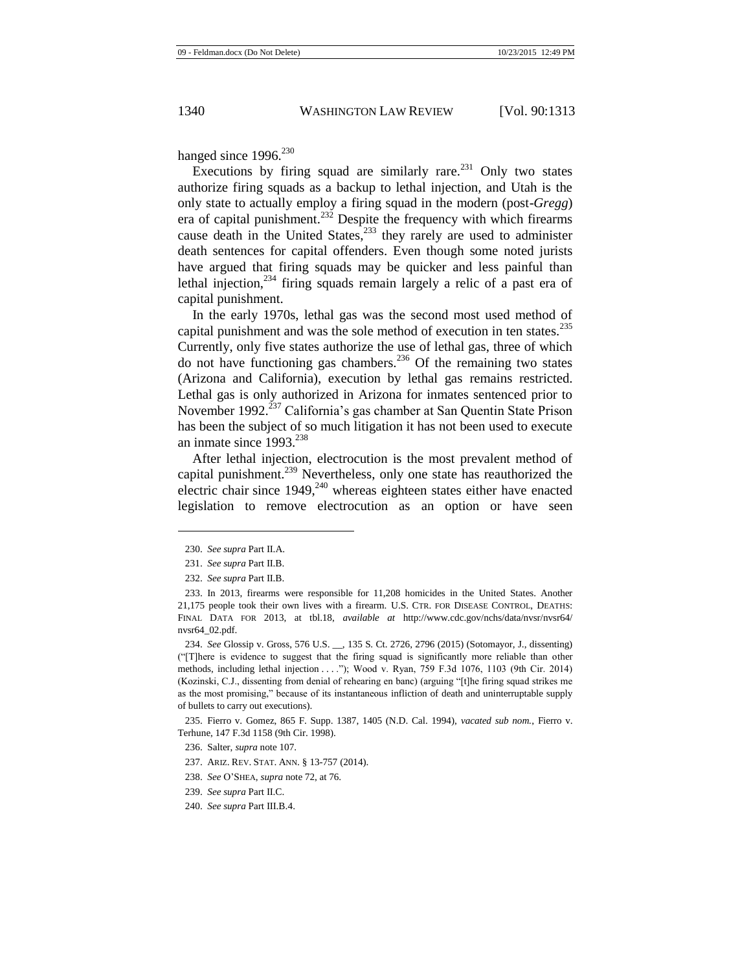hanged since  $1996.<sup>230</sup>$ 

Executions by firing squad are similarly rare.<sup>231</sup> Only two states authorize firing squads as a backup to lethal injection, and Utah is the only state to actually employ a firing squad in the modern (post-*Gregg*) era of capital punishment.<sup>232</sup> Despite the frequency with which firearms cause death in the United States,<sup>233</sup> they rarely are used to administer death sentences for capital offenders. Even though some noted jurists have argued that firing squads may be quicker and less painful than lethal injection, $^{234}$  firing squads remain largely a relic of a past era of capital punishment.

In the early 1970s, lethal gas was the second most used method of capital punishment and was the sole method of execution in ten states.<sup>235</sup> Currently, only five states authorize the use of lethal gas, three of which do not have functioning gas chambers.<sup>236</sup> Of the remaining two states (Arizona and California), execution by lethal gas remains restricted. Lethal gas is only authorized in Arizona for inmates sentenced prior to November 1992.<sup>237</sup> California's gas chamber at San Quentin State Prison has been the subject of so much litigation it has not been used to execute an inmate since 1993.<sup>238</sup>

After lethal injection, electrocution is the most prevalent method of capital punishment.<sup>239</sup> Nevertheless, only one state has reauthorized the electric chair since  $1949$ ,<sup>240</sup> whereas eighteen states either have enacted legislation to remove electrocution as an option or have seen

<sup>230.</sup> *See supra* Part II.A.

<sup>231.</sup> *See supra* Part II.B.

<sup>232.</sup> *See supra* Part II.B.

<sup>233.</sup> In 2013, firearms were responsible for 11,208 homicides in the United States. Another 21,175 people took their own lives with a firearm. U.S. CTR. FOR DISEASE CONTROL, DEATHS: FINAL DATA FOR 2013, at tbl.18, *available at* http://www.cdc.gov/nchs/data/nvsr/nvsr64/ nvsr64\_02.pdf.

<sup>234.</sup> *See* Glossip v. Gross, 576 U.S. \_\_, 135 S. Ct. 2726, 2796 (2015) (Sotomayor, J., dissenting) ("[T]here is evidence to suggest that the firing squad is significantly more reliable than other methods, including lethal injection . . . ."); Wood v. Ryan, 759 F.3d 1076, 1103 (9th Cir. 2014) (Kozinski, C.J., dissenting from denial of rehearing en banc) (arguing "[t]he firing squad strikes me as the most promising," because of its instantaneous infliction of death and uninterruptable supply of bullets to carry out executions).

<sup>235.</sup> Fierro v. Gomez, 865 F. Supp. 1387, 1405 (N.D. Cal. 1994), *vacated sub nom.*, Fierro v. Terhune, 147 F.3d 1158 (9th Cir. 1998).

<sup>236.</sup> Salter, *supra* note 107.

<sup>237.</sup> ARIZ. REV. STAT. ANN. § 13-757 (2014).

<sup>238.</sup> *See* O'SHEA, *supra* not[e 72,](#page-9-1) at 76.

<sup>239.</sup> *See supra* Part II.C.

<sup>240.</sup> *See supra* Part III.B.4.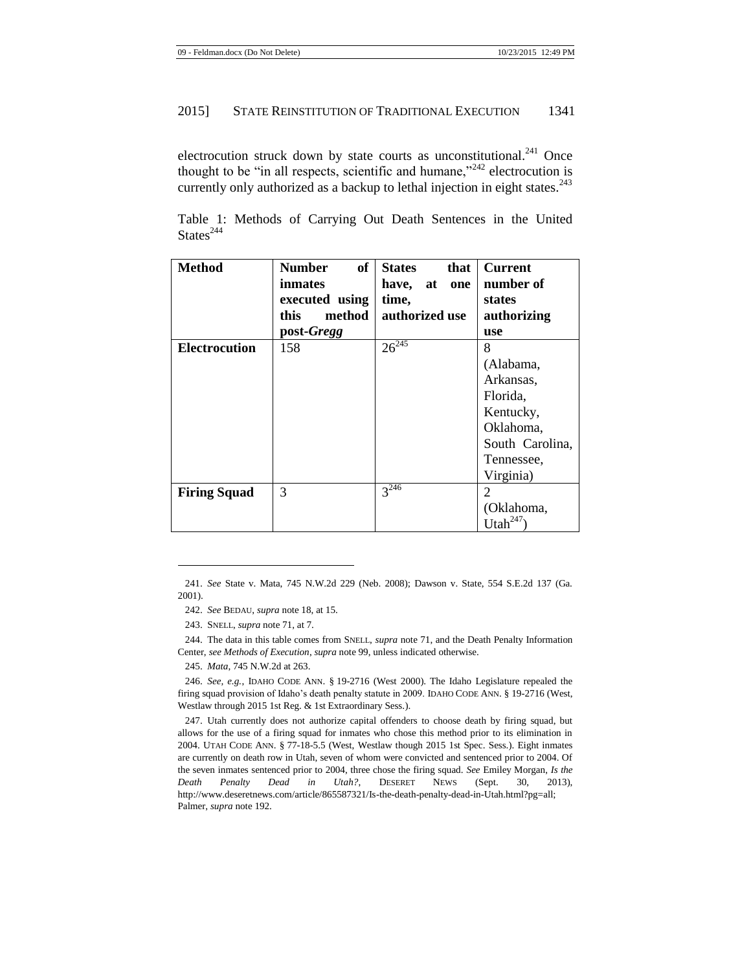electrocution struck down by state courts as unconstitutional.<sup>241</sup> Once thought to be "in all respects, scientific and humane,"  $242$  electrocution is currently only authorized as a backup to lethal injection in eight states.<sup>243</sup>

|                 |  |  |  | Table 1: Methods of Carrying Out Death Sentences in the United |  |  |
|-----------------|--|--|--|----------------------------------------------------------------|--|--|
| States $^{244}$ |  |  |  |                                                                |  |  |

| <b>Method</b>        | <b>of</b><br><b>Number</b> | <b>States</b><br>that | <b>Current</b>  |
|----------------------|----------------------------|-----------------------|-----------------|
|                      | inmates                    | have,<br>at<br>one    | number of       |
|                      | executed using             | time,                 | states          |
|                      | this<br>method             | authorized use        | authorizing     |
|                      | post-Gregg                 |                       | use             |
| <b>Electrocution</b> | 158                        | $26^{245}$            | 8               |
|                      |                            |                       | (Alabama,       |
|                      |                            |                       | Arkansas,       |
|                      |                            |                       | Florida,        |
|                      |                            |                       | Kentucky,       |
|                      |                            |                       | Oklahoma,       |
|                      |                            |                       | South Carolina, |
|                      |                            |                       | Tennessee,      |
|                      |                            |                       | Virginia)       |
| <b>Firing Squad</b>  | 3                          | $3^{246}$             | $\overline{2}$  |
|                      |                            |                       | (Oklahoma,      |
|                      |                            |                       | Utah            |

241. *See* State v. Mata, 745 N.W.2d 229 (Neb. 2008); Dawson v. State, 554 S.E.2d 137 (Ga. 2001).

243. SNELL, *supra* not[e 71,](#page-9-0) at 7.

 $\overline{\phantom{a}}$ 

244. The data in this table comes from SNELL, *supra* not[e 71,](#page-9-0) and the Death Penalty Information Center, *see Methods of Execution*, *supra* not[e 99,](#page-12-0) unless indicated otherwise.

245. *Mata*, 745 N.W.2d at 263.

246. *See, e.g.*, IDAHO CODE ANN. § 19-2716 (West 2000). The Idaho Legislature repealed the firing squad provision of Idaho's death penalty statute in 2009. IDAHO CODE ANN. § 19-2716 (West, Westlaw through 2015 1st Reg. & 1st Extraordinary Sess.).

247. Utah currently does not authorize capital offenders to choose death by firing squad, but allows for the use of a firing squad for inmates who chose this method prior to its elimination in 2004. UTAH CODE ANN. § 77-18-5.5 (West, Westlaw though 2015 1st Spec. Sess.). Eight inmates are currently on death row in Utah, seven of whom were convicted and sentenced prior to 2004. Of the seven inmates sentenced prior to 2004, three chose the firing squad. *See* Emiley Morgan, *Is the Death Penalty Dead in Utah?*, DESERET NEWS (Sept. 30, 2013), http://www.deseretnews.com/article/865587321/Is-the-death-penalty-dead-in-Utah.html?pg=all; Palmer, *supra* not[e 192.](#page-23-0) 

<sup>242.</sup> *See* BEDAU, *supra* not[e 18,](#page-3-2) at 15.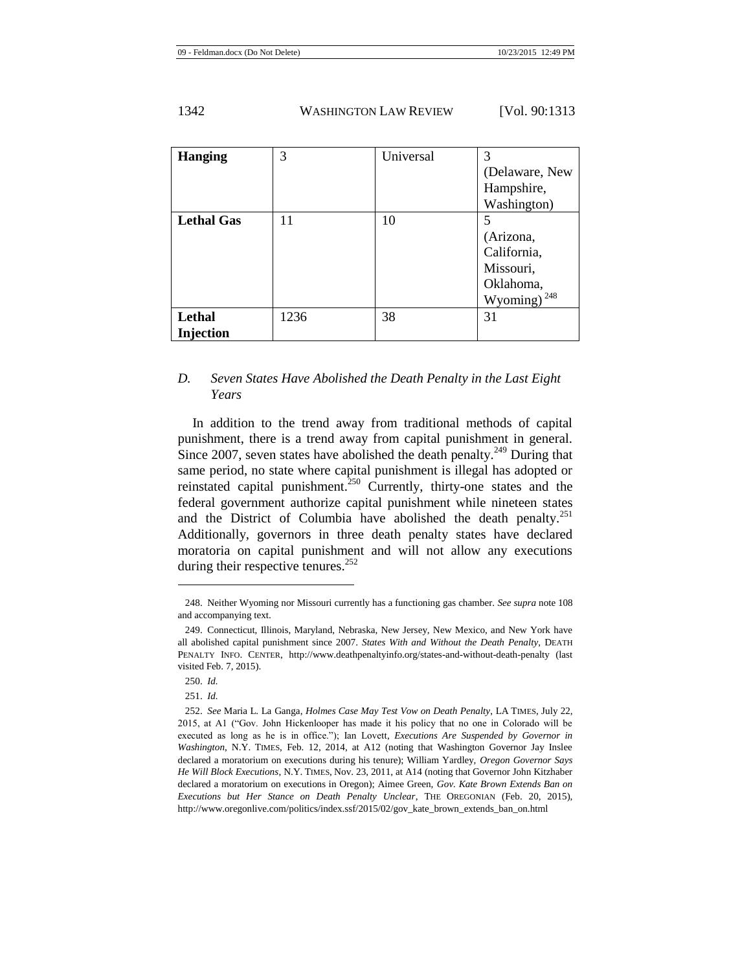| <b>Hanging</b>      | 3    | Universal | 3<br>(Delaware, New<br>Hampshire,<br>Washington)                           |
|---------------------|------|-----------|----------------------------------------------------------------------------|
| <b>Lethal Gas</b>   | 11   | 10        | 5<br>(Arizona,<br>California,<br>Missouri,<br>Oklahoma,<br>248<br>Wyoming) |
| Lethal<br>Injection | 1236 | 38        | 31                                                                         |

# *D. Seven States Have Abolished the Death Penalty in the Last Eight Years*

In addition to the trend away from traditional methods of capital punishment, there is a trend away from capital punishment in general. Since 2007, seven states have abolished the death penalty.<sup>249</sup> During that same period, no state where capital punishment is illegal has adopted or reinstated capital punishment.<sup>250</sup> Currently, thirty-one states and the federal government authorize capital punishment while nineteen states and the District of Columbia have abolished the death penalty.<sup>251</sup> Additionally, governors in three death penalty states have declared moratoria on capital punishment and will not allow any executions during their respective tenures.<sup>252</sup>

<sup>248.</sup> Neither Wyoming nor Missouri currently has a functioning gas chamber. *See supra* not[e 108](#page-13-1) and accompanying text.

<sup>249.</sup> Connecticut, Illinois, Maryland, Nebraska, New Jersey, New Mexico, and New York have all abolished capital punishment since 2007. *States With and Without the Death Penalty*, DEATH PENALTY INFO. CENTER, http://www.deathpenaltyinfo.org/states-and-without-death-penalty (last visited Feb. 7, 2015).

<sup>250.</sup> *Id.*

<sup>251.</sup> *Id.*

<sup>252.</sup> *See* Maria L. La Ganga, *Holmes Case May Test Vow on Death Penalty*, LA TIMES, July 22, 2015, at A1 ("Gov. John Hickenlooper has made it his policy that no one in Colorado will be executed as long as he is in office."); Ian Lovett, *Executions Are Suspended by Governor in Washington*, N.Y. TIMES, Feb. 12, 2014, at A12 (noting that Washington Governor Jay Inslee declared a moratorium on executions during his tenure); William Yardley, *Oregon Governor Says He Will Block Executions*, N.Y. TIMES, Nov. 23, 2011, at A14 (noting that Governor John Kitzhaber declared a moratorium on executions in Oregon); Aimee Green, *Gov. Kate Brown Extends Ban on Executions but Her Stance on Death Penalty Unclear*, THE OREGONIAN (Feb. 20, 2015), http://www.oregonlive.com/politics/index.ssf/2015/02/gov\_kate\_brown\_extends\_ban\_on.html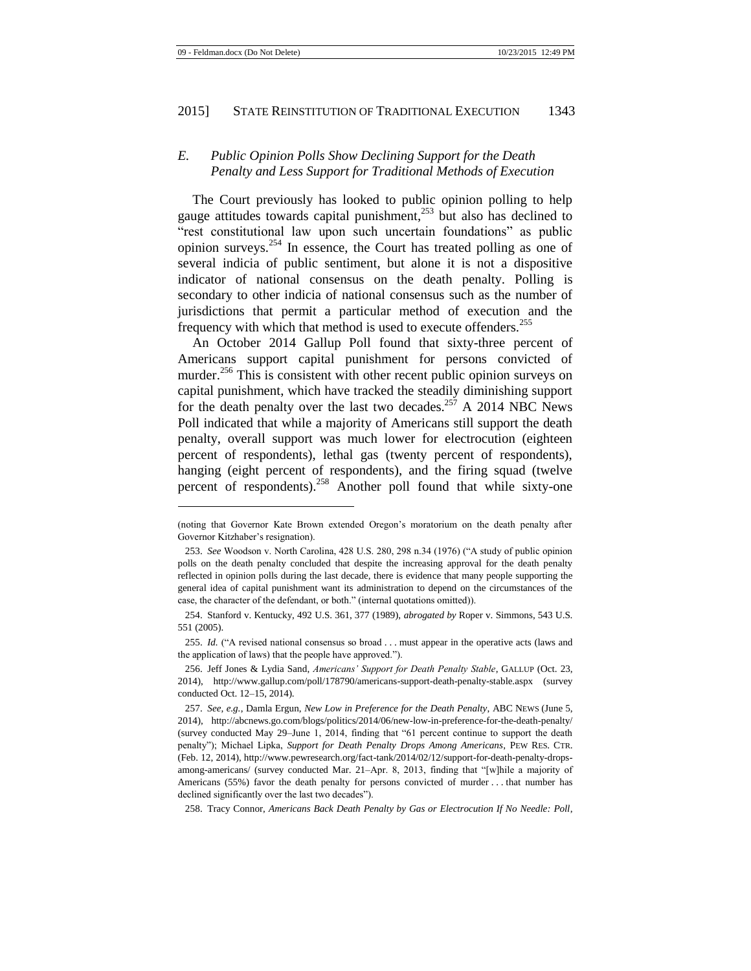# *E. Public Opinion Polls Show Declining Support for the Death Penalty and Less Support for Traditional Methods of Execution*

The Court previously has looked to public opinion polling to help gauge attitudes towards capital punishment, $^{253}$  but also has declined to "rest constitutional law upon such uncertain foundations" as public opinion surveys.<sup>254</sup> In essence, the Court has treated polling as one of several indicia of public sentiment, but alone it is not a dispositive indicator of national consensus on the death penalty. Polling is secondary to other indicia of national consensus such as the number of jurisdictions that permit a particular method of execution and the frequency with which that method is used to execute offenders.<sup>255</sup>

<span id="page-31-0"></span>An October 2014 Gallup Poll found that sixty-three percent of Americans support capital punishment for persons convicted of murder.<sup>256</sup> This is consistent with other recent public opinion surveys on capital punishment, which have tracked the steadily diminishing support for the death penalty over the last two decades.<sup>257</sup> A 2014 NBC News Poll indicated that while a majority of Americans still support the death penalty, overall support was much lower for electrocution (eighteen percent of respondents), lethal gas (twenty percent of respondents), hanging (eight percent of respondents), and the firing squad (twelve percent of respondents).<sup>258</sup> Another poll found that while sixty-one

<span id="page-31-1"></span> $\overline{\phantom{a}}$ 

258. Tracy Connor, *Americans Back Death Penalty by Gas or Electrocution If No Needle: Poll*,

<sup>(</sup>noting that Governor Kate Brown extended Oregon's moratorium on the death penalty after Governor Kitzhaber's resignation).

<sup>253.</sup> *See* Woodson v. North Carolina, 428 U.S. 280, 298 n.34 (1976) ("A study of public opinion polls on the death penalty concluded that despite the increasing approval for the death penalty reflected in opinion polls during the last decade, there is evidence that many people supporting the general idea of capital punishment want its administration to depend on the circumstances of the case, the character of the defendant, or both." (internal quotations omitted)).

<sup>254.</sup> Stanford v. Kentucky, 492 U.S. 361, 377 (1989), *abrogated by* Roper v. Simmons, 543 U.S. 551 (2005).

<sup>255.</sup> *Id.* ("A revised national consensus so broad . . . must appear in the operative acts (laws and the application of laws) that the people have approved.").

<sup>256.</sup> Jeff Jones & Lydia Sand, *Americans' Support for Death Penalty Stable*, GALLUP (Oct. 23, 2014), http://www.gallup.com/poll/178790/americans-support-death-penalty-stable.aspx (survey conducted Oct. 12–15, 2014).

<sup>257.</sup> *See, e.g.*, Damla Ergun, *New Low in Preference for the Death Penalty*, ABC NEWS (June 5, 2014), http://abcnews.go.com/blogs/politics/2014/06/new-low-in-preference-for-the-death-penalty/ (survey conducted May 29–June 1, 2014, finding that "61 percent continue to support the death penalty"); Michael Lipka, *Support for Death Penalty Drops Among Americans*, PEW RES. CTR. (Feb. 12, 2014), http://www.pewresearch.org/fact-tank/2014/02/12/support-for-death-penalty-dropsamong-americans/ (survey conducted Mar. 21–Apr. 8, 2013, finding that "[w]hile a majority of Americans (55%) favor the death penalty for persons convicted of murder . . . that number has declined significantly over the last two decades").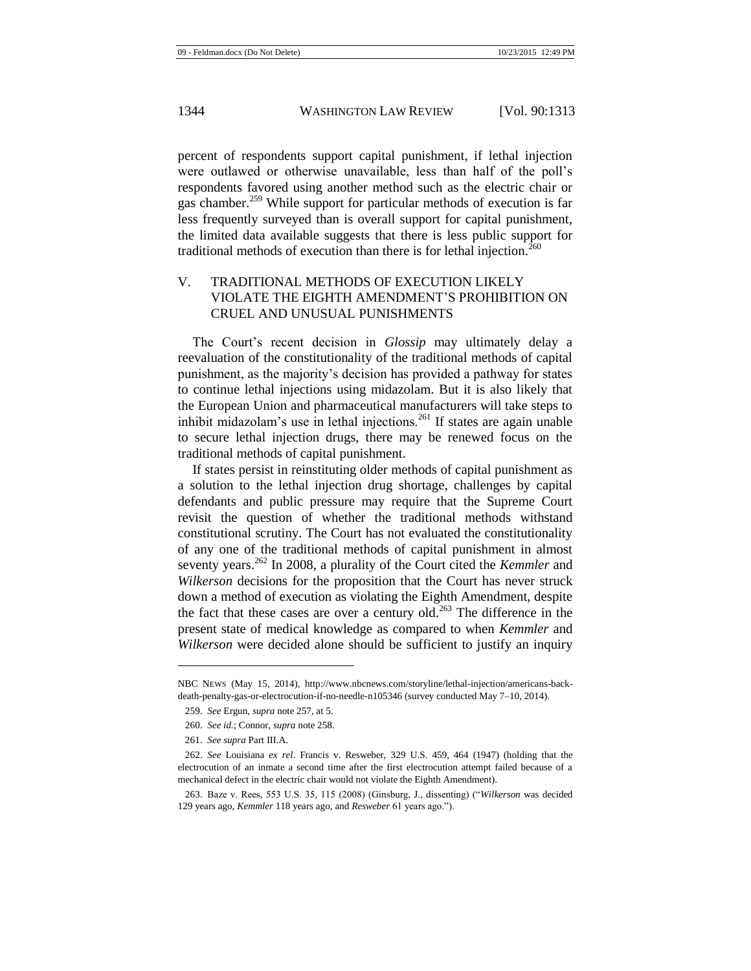percent of respondents support capital punishment, if lethal injection were outlawed or otherwise unavailable, less than half of the poll's respondents favored using another method such as the electric chair or gas chamber.<sup>259</sup> While support for particular methods of execution is far less frequently surveyed than is overall support for capital punishment, the limited data available suggests that there is less public support for traditional methods of execution than there is for lethal injection.<sup>260</sup>

# V. TRADITIONAL METHODS OF EXECUTION LIKELY VIOLATE THE EIGHTH AMENDMENT'S PROHIBITION ON CRUEL AND UNUSUAL PUNISHMENTS

The Court's recent decision in *Glossip* may ultimately delay a reevaluation of the constitutionality of the traditional methods of capital punishment, as the majority's decision has provided a pathway for states to continue lethal injections using midazolam. But it is also likely that the European Union and pharmaceutical manufacturers will take steps to inhibit midazolam's use in lethal injections.<sup>261</sup> If states are again unable to secure lethal injection drugs, there may be renewed focus on the traditional methods of capital punishment.

If states persist in reinstituting older methods of capital punishment as a solution to the lethal injection drug shortage, challenges by capital defendants and public pressure may require that the Supreme Court revisit the question of whether the traditional methods withstand constitutional scrutiny. The Court has not evaluated the constitutionality of any one of the traditional methods of capital punishment in almost seventy years.<sup>262</sup> In 2008, a plurality of the Court cited the *Kemmler* and *Wilkerson* decisions for the proposition that the Court has never struck down a method of execution as violating the Eighth Amendment, despite the fact that these cases are over a century old.<sup>263</sup> The difference in the present state of medical knowledge as compared to when *Kemmler* and *Wilkerson* were decided alone should be sufficient to justify an inquiry

NBC NEWS (May 15, 2014), http://www.nbcnews.com/storyline/lethal-injection/americans-backdeath-penalty-gas-or-electrocution-if-no-needle-n105346 (survey conducted May 7–10, 2014).

<sup>259.</sup> *See* Ergun, *supra* note [257,](#page-31-0) at 5.

<sup>260.</sup> *See id.*; Connor, *supra* not[e 258.](#page-31-1)

<sup>261.</sup> *See supra* Part III.A.

<sup>262.</sup> *See* Louisiana *ex rel.* Francis v. Resweber, 329 U.S. 459, 464 (1947) (holding that the electrocution of an inmate a second time after the first electrocution attempt failed because of a mechanical defect in the electric chair would not violate the Eighth Amendment).

<sup>263.</sup> Baze v. Rees, 553 U.S. 35, 115 (2008) (Ginsburg, J., dissenting) ("*Wilkerson* was decided 129 years ago, *Kemmler* 118 years ago, and *Resweber* 61 years ago.").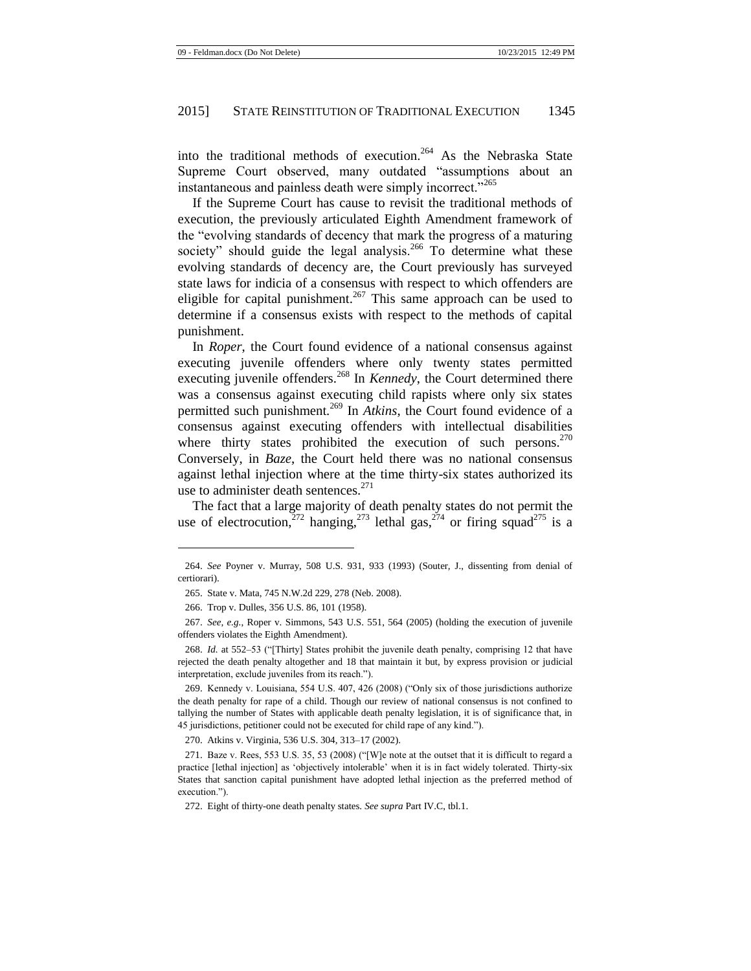into the traditional methods of execution.<sup>264</sup> As the Nebraska State Supreme Court observed, many outdated "assumptions about an instantaneous and painless death were simply incorrect."<sup>265</sup>

If the Supreme Court has cause to revisit the traditional methods of execution, the previously articulated Eighth Amendment framework of the "evolving standards of decency that mark the progress of a maturing society" should guide the legal analysis.<sup>266</sup> To determine what these evolving standards of decency are, the Court previously has surveyed state laws for indicia of a consensus with respect to which offenders are eligible for capital punishment.<sup>267</sup> This same approach can be used to determine if a consensus exists with respect to the methods of capital punishment.

In *Roper*, the Court found evidence of a national consensus against executing juvenile offenders where only twenty states permitted executing juvenile offenders.<sup>268</sup> In *Kennedy*, the Court determined there was a consensus against executing child rapists where only six states permitted such punishment.<sup>269</sup> In *Atkins*, the Court found evidence of a consensus against executing offenders with intellectual disabilities where thirty states prohibited the execution of such persons.<sup>270</sup> Conversely, in *Baze*, the Court held there was no national consensus against lethal injection where at the time thirty-six states authorized its use to administer death sentences. $271$ 

The fact that a large majority of death penalty states do not permit the use of electrocution,  $272$  hanging,  $273$  lethal gas,  $274$  or firing squad<sup>275</sup> is a

l

270. Atkins v. Virginia, 536 U.S. 304, 313–17 (2002).

<sup>264.</sup> *See* Poyner v. Murray, 508 U.S. 931, 933 (1993) (Souter, J., dissenting from denial of certiorari).

<sup>265.</sup> State v. Mata, 745 N.W.2d 229, 278 (Neb. 2008).

<sup>266.</sup> Trop v. Dulles, 356 U.S. 86, 101 (1958).

<sup>267.</sup> *See, e.g.*, Roper v. Simmons, 543 U.S. 551, 564 (2005) (holding the execution of juvenile offenders violates the Eighth Amendment).

<sup>268.</sup> *Id.* at 552–53 ("[Thirty] States prohibit the juvenile death penalty, comprising 12 that have rejected the death penalty altogether and 18 that maintain it but, by express provision or judicial interpretation, exclude juveniles from its reach.").

<sup>269.</sup> Kennedy v. Louisiana, 554 U.S. 407, 426 (2008) ("Only six of those jurisdictions authorize the death penalty for rape of a child. Though our review of national consensus is not confined to tallying the number of States with applicable death penalty legislation, it is of significance that, in 45 jurisdictions, petitioner could not be executed for child rape of any kind.").

<sup>271.</sup> Baze v. Rees, 553 U.S. 35, 53 (2008) ("[W]e note at the outset that it is difficult to regard a practice [lethal injection] as 'objectively intolerable' when it is in fact widely tolerated. Thirty-six States that sanction capital punishment have adopted lethal injection as the preferred method of execution.").

<sup>272.</sup> Eight of thirty-one death penalty states. *See supra* Part IV.C, tbl.1.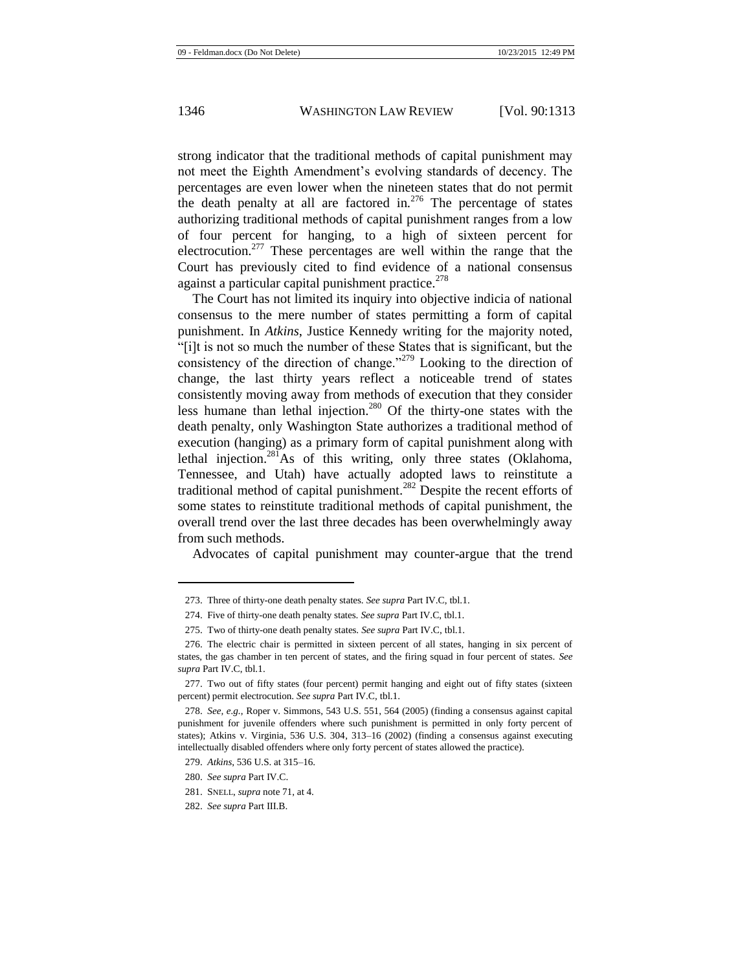strong indicator that the traditional methods of capital punishment may not meet the Eighth Amendment's evolving standards of decency. The percentages are even lower when the nineteen states that do not permit the death penalty at all are factored in.<sup>276</sup> The percentage of states authorizing traditional methods of capital punishment ranges from a low of four percent for hanging, to a high of sixteen percent for electrocution.<sup>277</sup> These percentages are well within the range that the Court has previously cited to find evidence of a national consensus against a particular capital punishment practice.<sup>278</sup>

The Court has not limited its inquiry into objective indicia of national consensus to the mere number of states permitting a form of capital punishment. In *Atkins*, Justice Kennedy writing for the majority noted, "[i]t is not so much the number of these States that is significant, but the consistency of the direction of change."<sup>279</sup> Looking to the direction of change, the last thirty years reflect a noticeable trend of states consistently moving away from methods of execution that they consider less humane than lethal injection.<sup>280</sup> Of the thirty-one states with the death penalty, only Washington State authorizes a traditional method of execution (hanging) as a primary form of capital punishment along with lethal injection.<sup>281</sup>As of this writing, only three states (Oklahoma, Tennessee, and Utah) have actually adopted laws to reinstitute a traditional method of capital punishment.<sup>282</sup> Despite the recent efforts of some states to reinstitute traditional methods of capital punishment, the overall trend over the last three decades has been overwhelmingly away from such methods.

Advocates of capital punishment may counter-argue that the trend

<sup>273.</sup> Three of thirty-one death penalty states. *See supra* Part IV.C, tbl.1.

<sup>274.</sup> Five of thirty-one death penalty states. *See supra* Part IV.C, tbl.1.

<sup>275.</sup> Two of thirty-one death penalty states. *See supra* Part IV.C, tbl.1.

<sup>276.</sup> The electric chair is permitted in sixteen percent of all states, hanging in six percent of states, the gas chamber in ten percent of states, and the firing squad in four percent of states. *See supra* Part IV.C, tbl.1.

<sup>277.</sup> Two out of fifty states (four percent) permit hanging and eight out of fifty states (sixteen percent) permit electrocution. *See supra* Part IV.C, tbl.1.

<sup>278.</sup> *See, e.g.*, Roper v. Simmons, 543 U.S. 551, 564 (2005) (finding a consensus against capital punishment for juvenile offenders where such punishment is permitted in only forty percent of states); Atkins v. Virginia, 536 U.S. 304, 313–16 (2002) (finding a consensus against executing intellectually disabled offenders where only forty percent of states allowed the practice).

<sup>279.</sup> *Atkins*, 536 U.S. at 315–16.

<sup>280.</sup> *See supra* Part IV.C.

<sup>281.</sup> SNELL, *supra* not[e 71,](#page-9-0) at 4.

<sup>282.</sup> *See supra* Part III.B.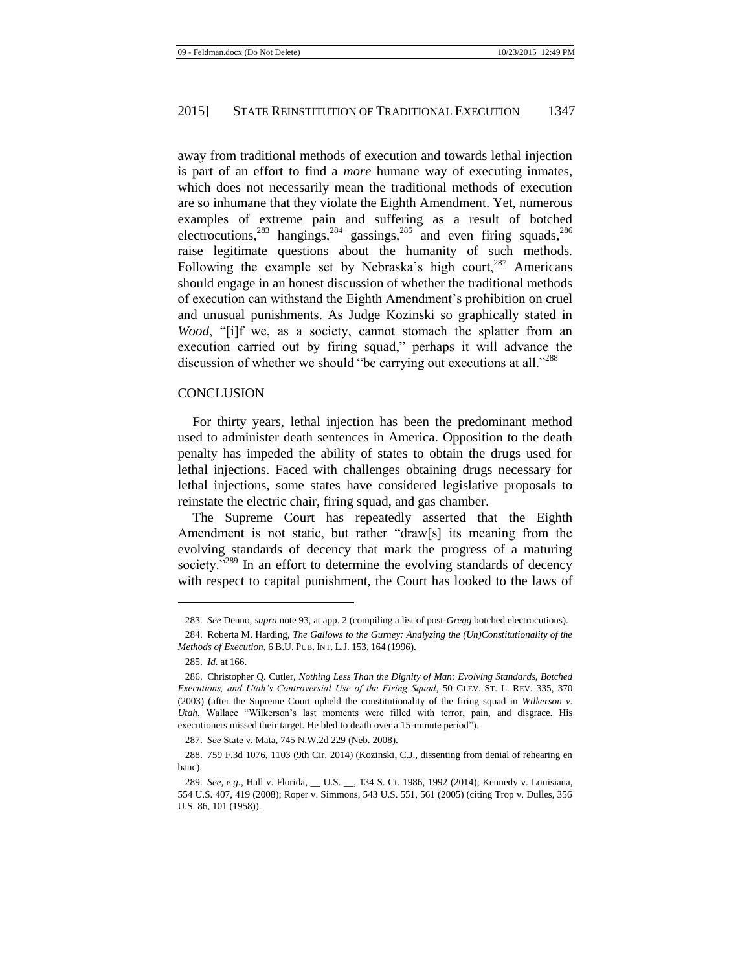away from traditional methods of execution and towards lethal injection is part of an effort to find a *more* humane way of executing inmates, which does not necessarily mean the traditional methods of execution are so inhumane that they violate the Eighth Amendment. Yet, numerous examples of extreme pain and suffering as a result of botched electrocutions,<sup>283</sup> hangings,<sup>284</sup> gassings,<sup>285</sup> and even firing squads,<sup>286</sup> raise legitimate questions about the humanity of such methods. Following the example set by Nebraska's high court,  $287$  Americans should engage in an honest discussion of whether the traditional methods of execution can withstand the Eighth Amendment's prohibition on cruel and unusual punishments. As Judge Kozinski so graphically stated in *Wood*, "[i]f we, as a society, cannot stomach the splatter from an execution carried out by firing squad," perhaps it will advance the discussion of whether we should "be carrying out executions at all."<sup>288</sup>

#### **CONCLUSION**

For thirty years, lethal injection has been the predominant method used to administer death sentences in America. Opposition to the death penalty has impeded the ability of states to obtain the drugs used for lethal injections. Faced with challenges obtaining drugs necessary for lethal injections, some states have considered legislative proposals to reinstate the electric chair, firing squad, and gas chamber.

The Supreme Court has repeatedly asserted that the Eighth Amendment is not static, but rather "draw[s] its meaning from the evolving standards of decency that mark the progress of a maturing society."<sup>289</sup> In an effort to determine the evolving standards of decency with respect to capital punishment, the Court has looked to the laws of

<sup>283.</sup> *See* Denno, *supra* not[e 93,](#page-11-0) at app. 2 (compiling a list of post-*Gregg* botched electrocutions).

<sup>284.</sup> Roberta M. Harding, *The Gallows to the Gurney: Analyzing the (Un)Constitutionality of the Methods of Execution*, 6 B.U. PUB. INT. L.J. 153, 164 (1996).

<sup>285.</sup> *Id.* at 166.

<sup>286.</sup> Christopher Q. Cutler, *Nothing Less Than the Dignity of Man: Evolving Standards, Botched Executions, and Utah's Controversial Use of the Firing Squad*, 50 CLEV. ST. L. REV. 335, 370 (2003) (after the Supreme Court upheld the constitutionality of the firing squad in *Wilkerson v. Utah*, Wallace "Wilkerson's last moments were filled with terror, pain, and disgrace. His executioners missed their target. He bled to death over a 15-minute period").

<sup>287.</sup> *See* State v. Mata, 745 N.W.2d 229 (Neb. 2008).

<sup>288.</sup> 759 F.3d 1076, 1103 (9th Cir. 2014) (Kozinski, C.J., dissenting from denial of rehearing en banc).

<sup>289.</sup> *See, e.g.*, Hall v. Florida, \_\_ U.S. \_\_, 134 S. Ct. 1986, 1992 (2014); Kennedy v. Louisiana, 554 U.S. 407, 419 (2008); Roper v. Simmons, 543 U.S. 551, 561 (2005) (citing Trop v. Dulles, 356 U.S. 86, 101 (1958)).